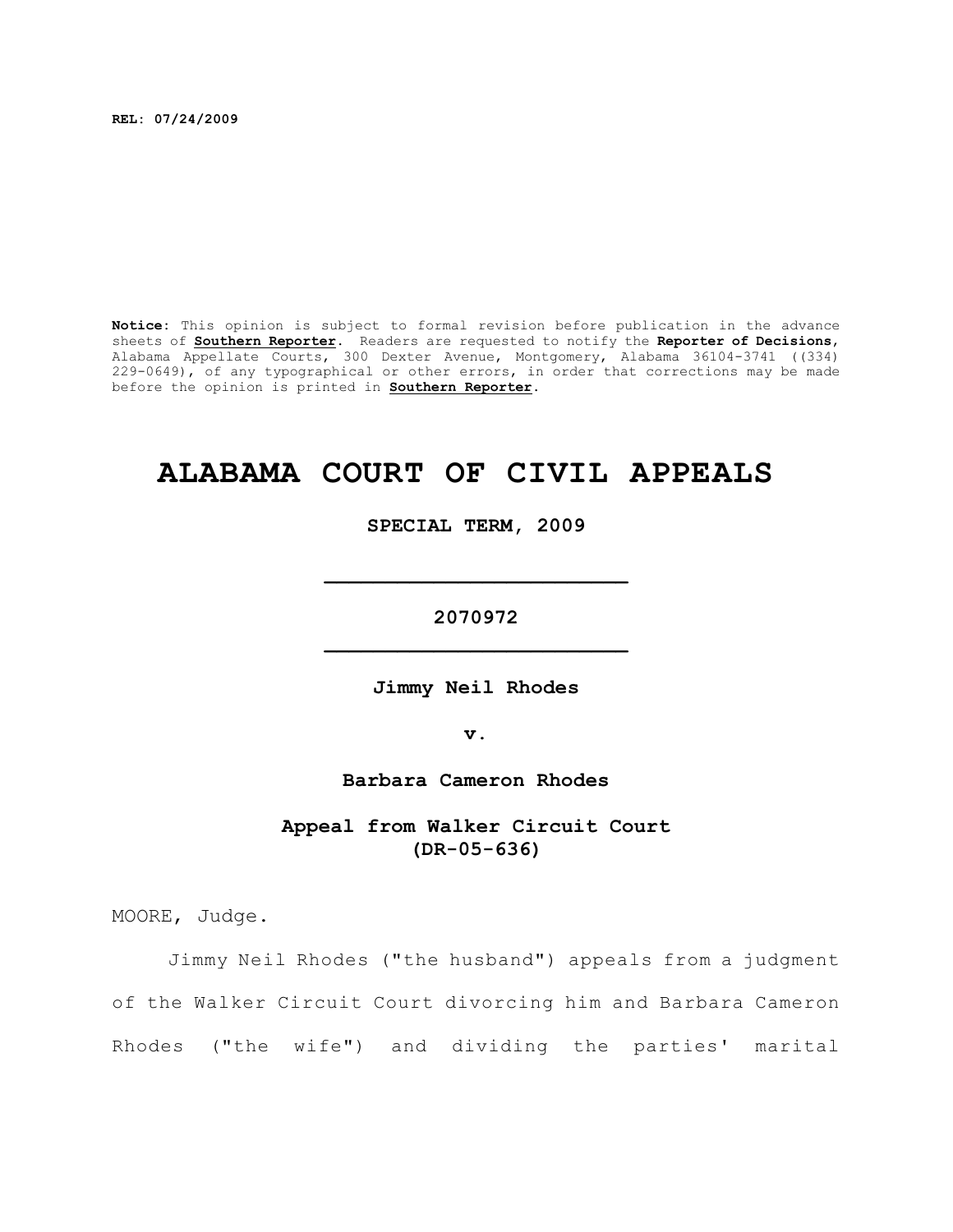**REL: 07/24/2009**

**Notice:** This opinion is subject to formal revision before publication in the advance sheets of **Southern Reporter**. Readers are requested to notify the **Reporter of Decisions**, Alabama Appellate Courts, 300 Dexter Avenue, Montgomery, Alabama 36104-3741 ((334) 229-0649), of any typographical or other errors, in order that corrections may be made before the opinion is printed in **Southern Reporter**.

# **ALABAMA COURT OF CIVIL APPEALS**

**SPECIAL TERM, 2009**

**\_\_\_\_\_\_\_\_\_\_\_\_\_\_\_\_\_\_\_\_\_\_\_\_\_**

**2070972 \_\_\_\_\_\_\_\_\_\_\_\_\_\_\_\_\_\_\_\_\_\_\_\_\_**

**Jimmy Neil Rhodes**

**v.**

**Barbara Cameron Rhodes**

**Appeal from Walker Circuit Court (DR-05-636)**

MOORE, Judge.

Jimmy Neil Rhodes ("the husband") appeals from a judgment of the Walker Circuit Court divorcing him and Barbara Cameron Rhodes ("the wife") and dividing the parties' marital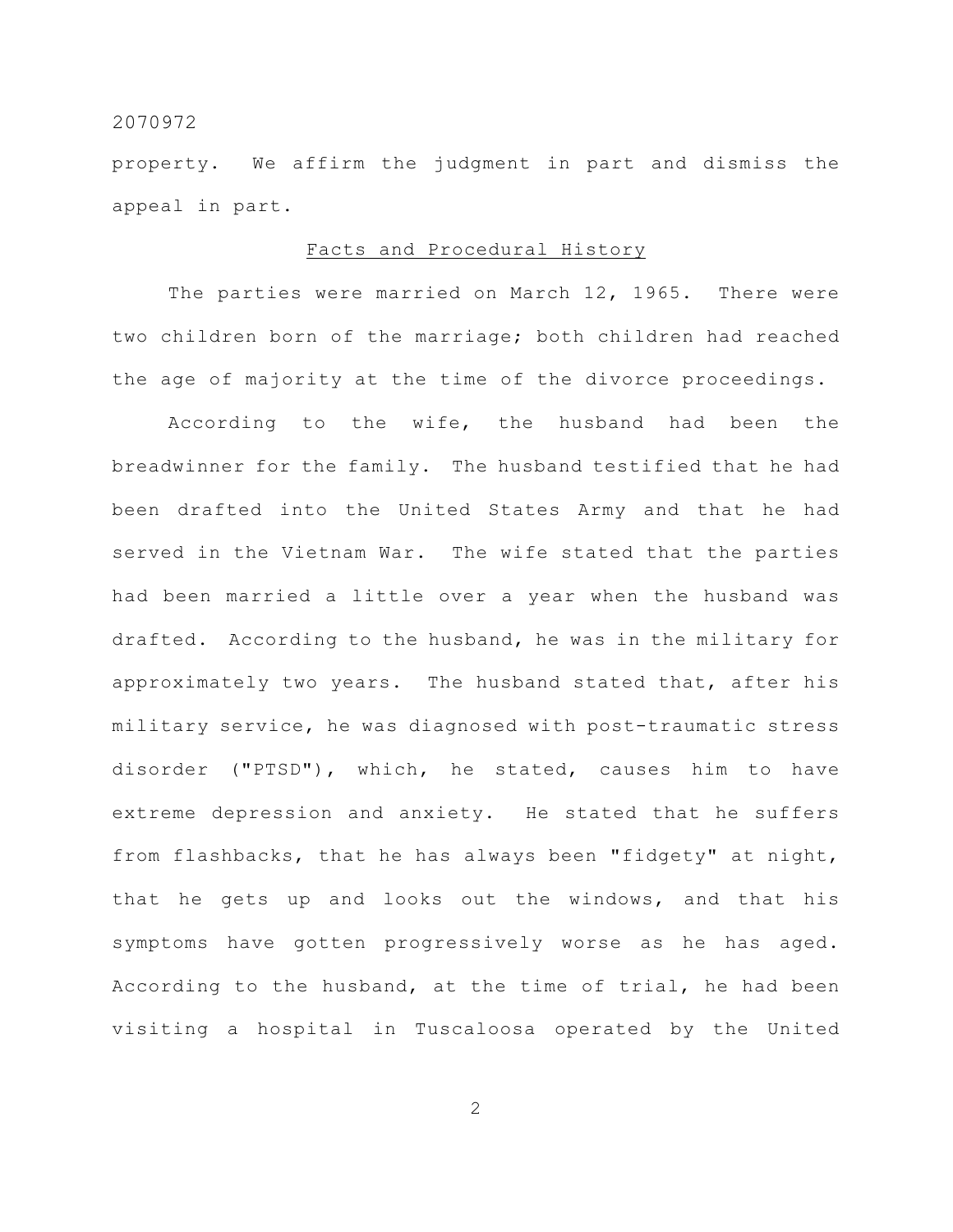property. We affirm the judgment in part and dismiss the appeal in part.

#### Facts and Procedural History

The parties were married on March 12, 1965. There were two children born of the marriage; both children had reached the age of majority at the time of the divorce proceedings.

According to the wife, the husband had been the breadwinner for the family. The husband testified that he had been drafted into the United States Army and that he had served in the Vietnam War. The wife stated that the parties had been married a little over a year when the husband was drafted. According to the husband, he was in the military for approximately two years. The husband stated that, after his military service, he was diagnosed with post-traumatic stress disorder ("PTSD"), which, he stated, causes him to have extreme depression and anxiety. He stated that he suffers from flashbacks, that he has always been "fidgety" at night, that he gets up and looks out the windows, and that his symptoms have gotten progressively worse as he has aged. According to the husband, at the time of trial, he had been visiting a hospital in Tuscaloosa operated by the United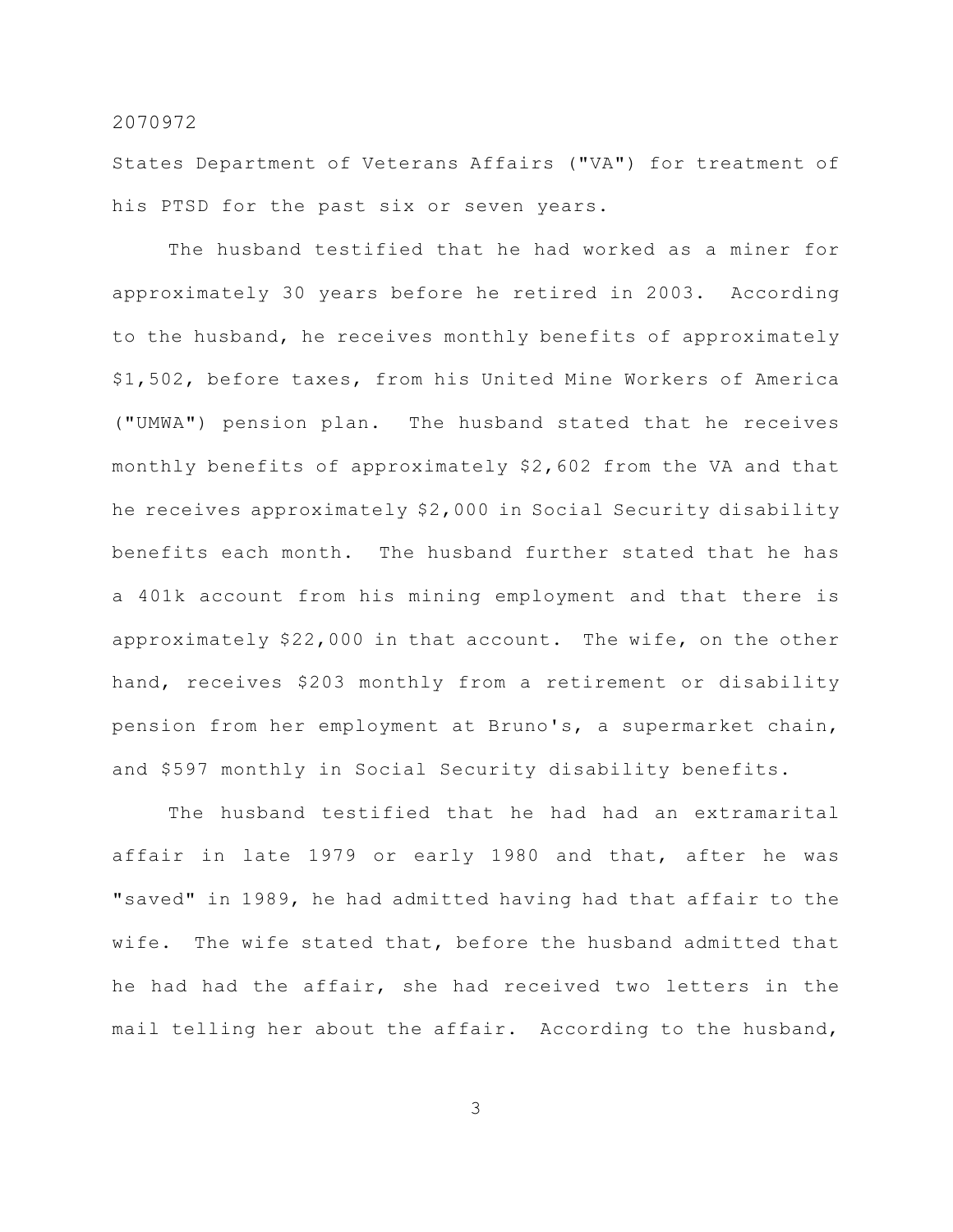States Department of Veterans Affairs ("VA") for treatment of his PTSD for the past six or seven years.

The husband testified that he had worked as a miner for approximately 30 years before he retired in 2003. According to the husband, he receives monthly benefits of approximately \$1,502, before taxes, from his United Mine Workers of America ("UMWA") pension plan. The husband stated that he receives monthly benefits of approximately \$2,602 from the VA and that he receives approximately \$2,000 in Social Security disability benefits each month. The husband further stated that he has a 401k account from his mining employment and that there is approximately \$22,000 in that account. The wife, on the other hand, receives \$203 monthly from a retirement or disability pension from her employment at Bruno's, a supermarket chain, and \$597 monthly in Social Security disability benefits.

The husband testified that he had had an extramarital affair in late 1979 or early 1980 and that, after he was "saved" in 1989, he had admitted having had that affair to the wife. The wife stated that, before the husband admitted that he had had the affair, she had received two letters in the mail telling her about the affair. According to the husband,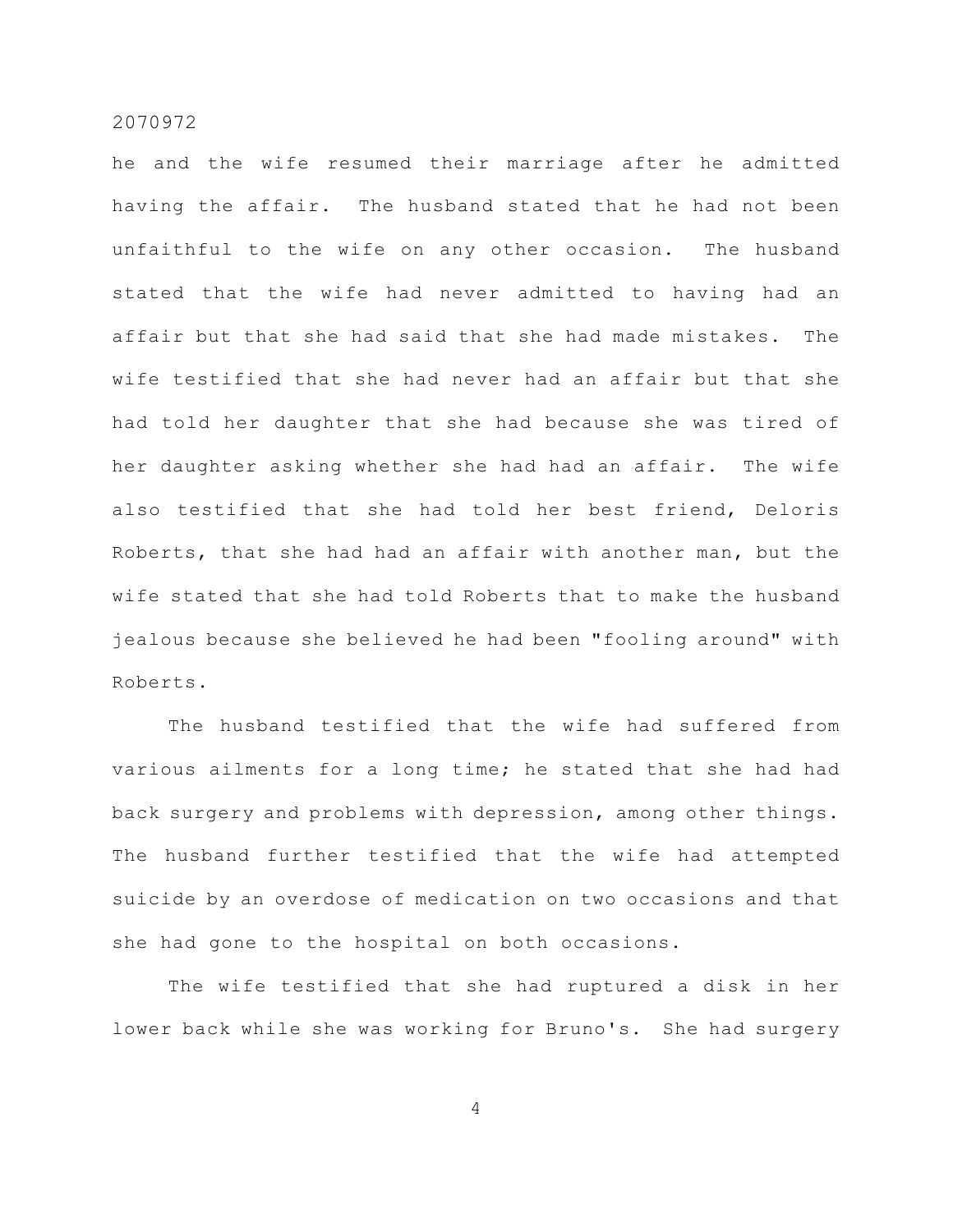he and the wife resumed their marriage after he admitted having the affair. The husband stated that he had not been unfaithful to the wife on any other occasion. The husband stated that the wife had never admitted to having had an affair but that she had said that she had made mistakes. The wife testified that she had never had an affair but that she had told her daughter that she had because she was tired of her daughter asking whether she had had an affair. The wife also testified that she had told her best friend, Deloris Roberts, that she had had an affair with another man, but the wife stated that she had told Roberts that to make the husband jealous because she believed he had been "fooling around" with Roberts.

The husband testified that the wife had suffered from various ailments for a long time; he stated that she had had back surgery and problems with depression, among other things. The husband further testified that the wife had attempted suicide by an overdose of medication on two occasions and that she had gone to the hospital on both occasions.

The wife testified that she had ruptured a disk in her lower back while she was working for Bruno's. She had surgery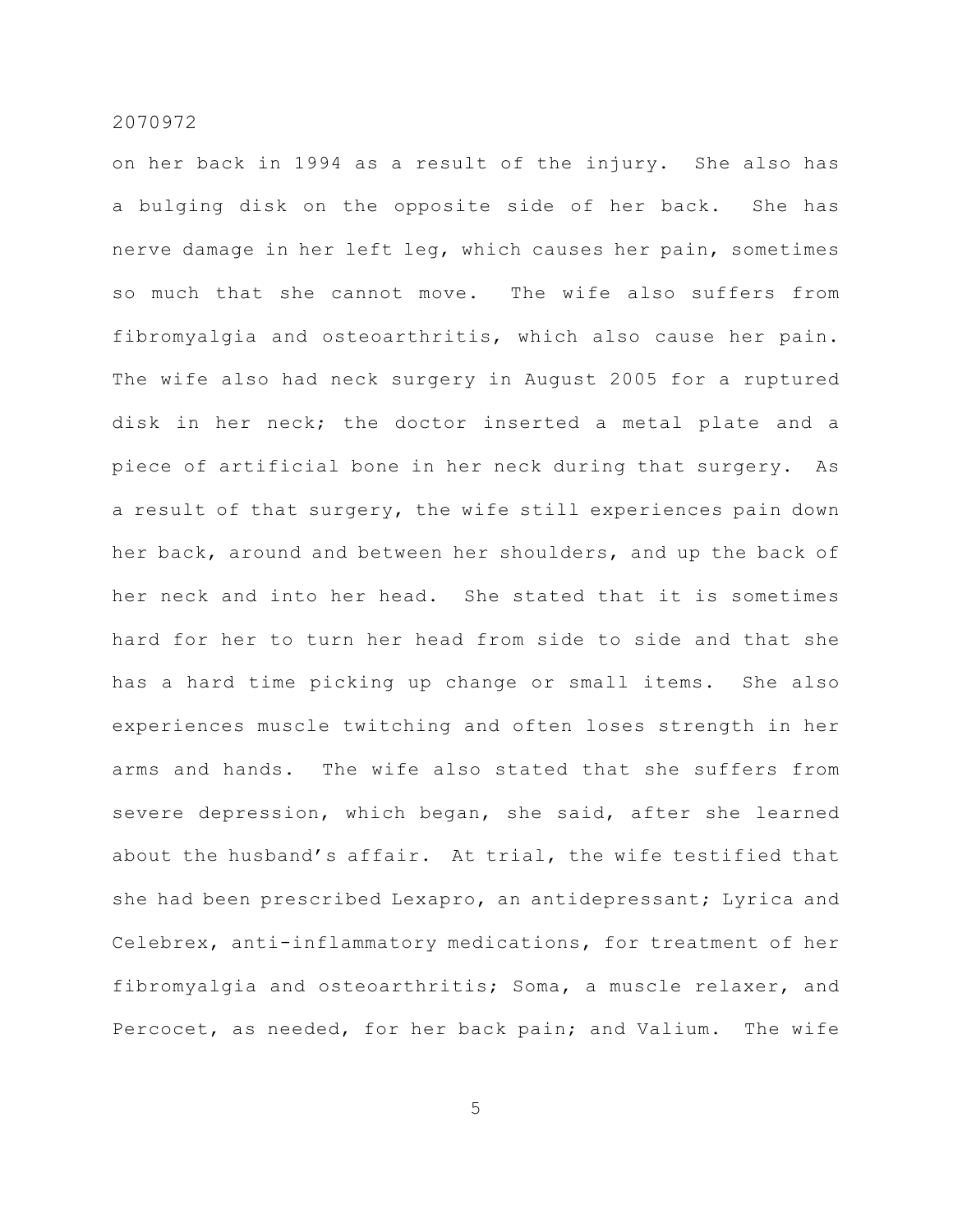on her back in 1994 as a result of the injury. She also has a bulging disk on the opposite side of her back. She has nerve damage in her left leg, which causes her pain, sometimes so much that she cannot move. The wife also suffers from fibromyalgia and osteoarthritis, which also cause her pain. The wife also had neck surgery in August 2005 for a ruptured disk in her neck; the doctor inserted a metal plate and a piece of artificial bone in her neck during that surgery. As a result of that surgery, the wife still experiences pain down her back, around and between her shoulders, and up the back of her neck and into her head. She stated that it is sometimes hard for her to turn her head from side to side and that she has a hard time picking up change or small items. She also experiences muscle twitching and often loses strength in her arms and hands. The wife also stated that she suffers from severe depression, which began, she said, after she learned about the husband's affair. At trial, the wife testified that she had been prescribed Lexapro, an antidepressant; Lyrica and Celebrex, anti-inflammatory medications, for treatment of her fibromyalgia and osteoarthritis; Soma, a muscle relaxer, and Percocet, as needed, for her back pain; and Valium. The wife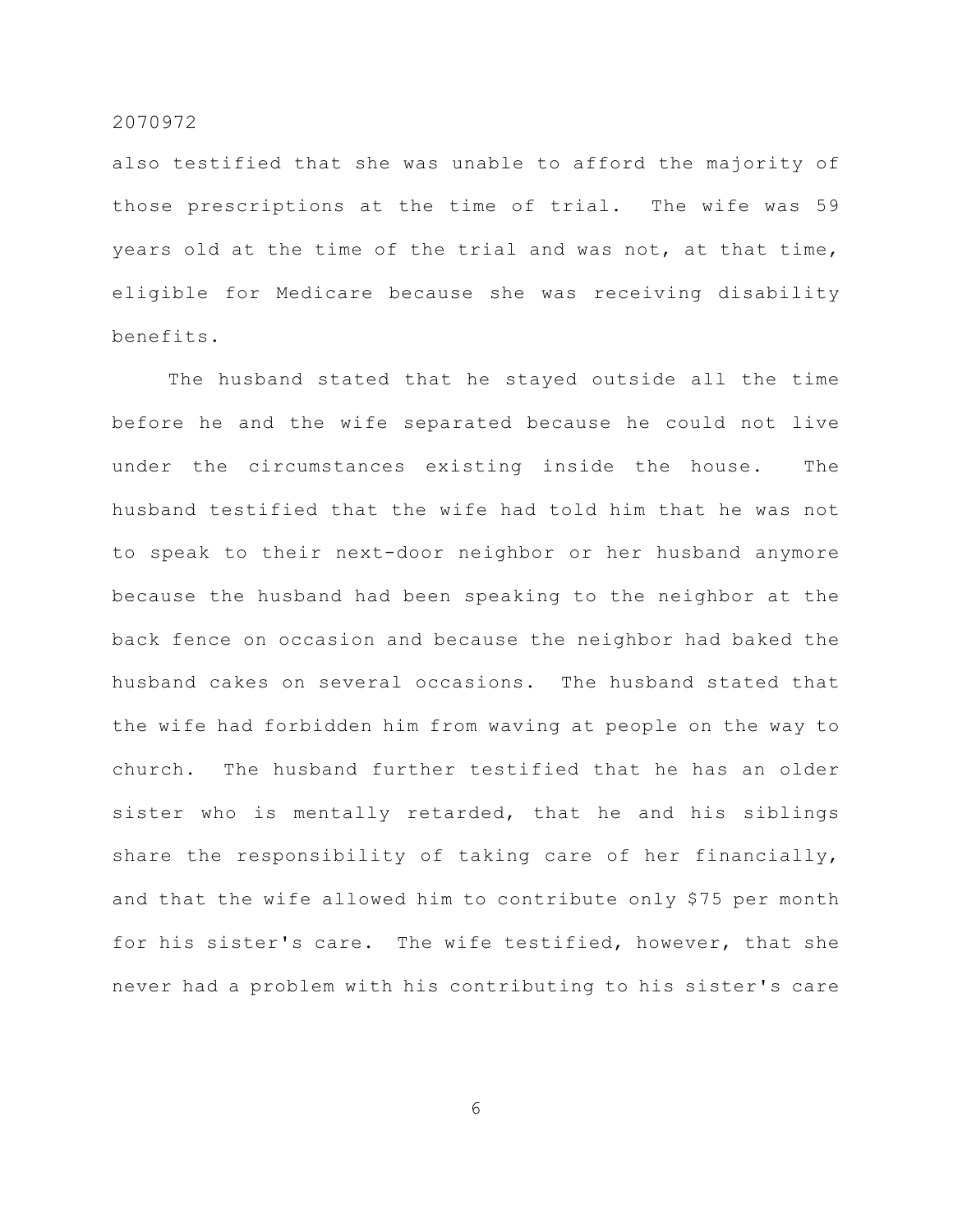also testified that she was unable to afford the majority of those prescriptions at the time of trial. The wife was 59 years old at the time of the trial and was not, at that time, eligible for Medicare because she was receiving disability benefits.

The husband stated that he stayed outside all the time before he and the wife separated because he could not live under the circumstances existing inside the house. The husband testified that the wife had told him that he was not to speak to their next-door neighbor or her husband anymore because the husband had been speaking to the neighbor at the back fence on occasion and because the neighbor had baked the husband cakes on several occasions. The husband stated that the wife had forbidden him from waving at people on the way to church. The husband further testified that he has an older sister who is mentally retarded, that he and his siblings share the responsibility of taking care of her financially, and that the wife allowed him to contribute only \$75 per month for his sister's care. The wife testified, however, that she never had a problem with his contributing to his sister's care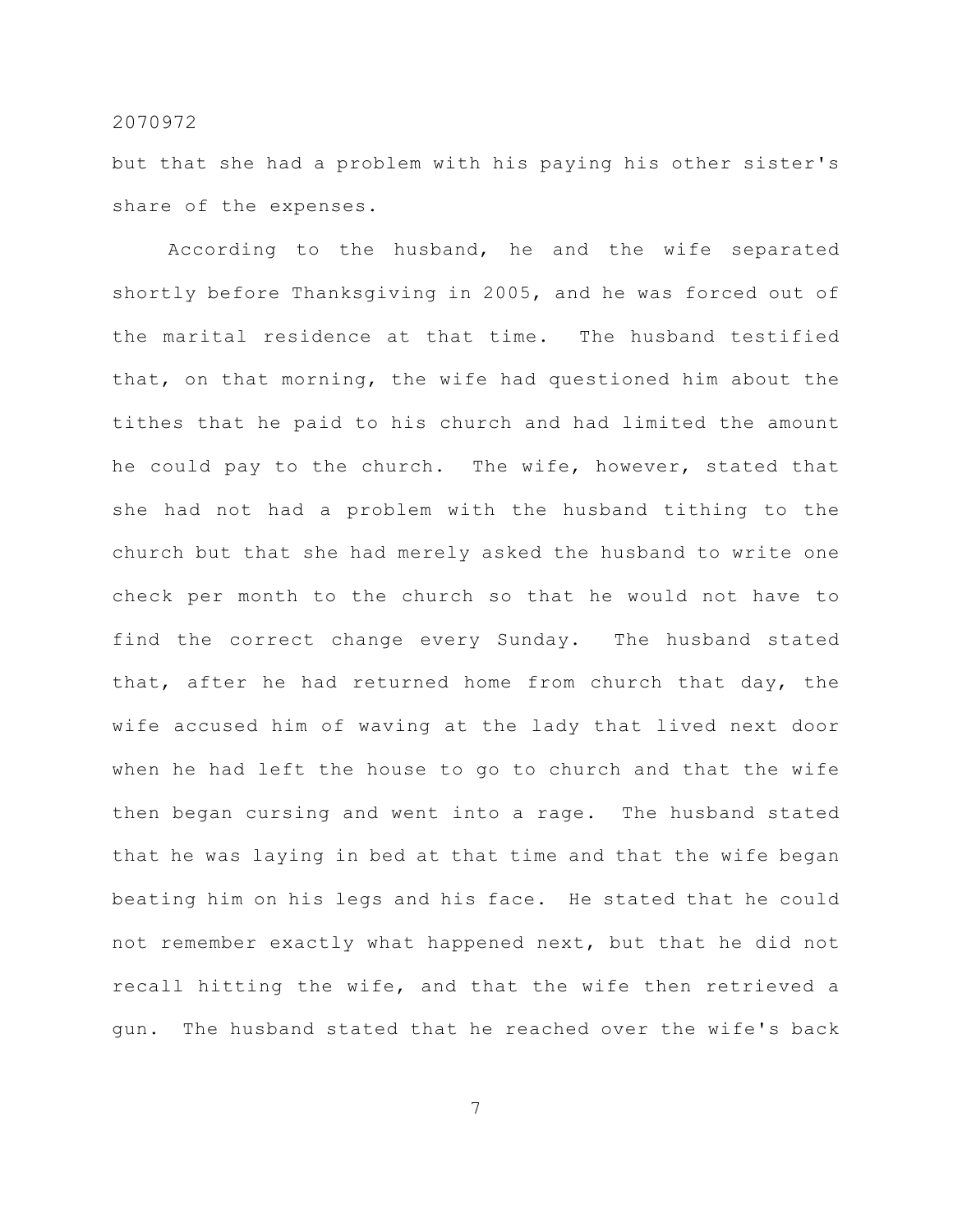but that she had a problem with his paying his other sister's share of the expenses.

According to the husband, he and the wife separated shortly before Thanksgiving in 2005, and he was forced out of the marital residence at that time. The husband testified that, on that morning, the wife had questioned him about the tithes that he paid to his church and had limited the amount he could pay to the church. The wife, however, stated that she had not had a problem with the husband tithing to the church but that she had merely asked the husband to write one check per month to the church so that he would not have to find the correct change every Sunday. The husband stated that, after he had returned home from church that day, the wife accused him of waving at the lady that lived next door when he had left the house to go to church and that the wife then began cursing and went into a rage. The husband stated that he was laying in bed at that time and that the wife began beating him on his legs and his face. He stated that he could not remember exactly what happened next, but that he did not recall hitting the wife, and that the wife then retrieved a gun. The husband stated that he reached over the wife's back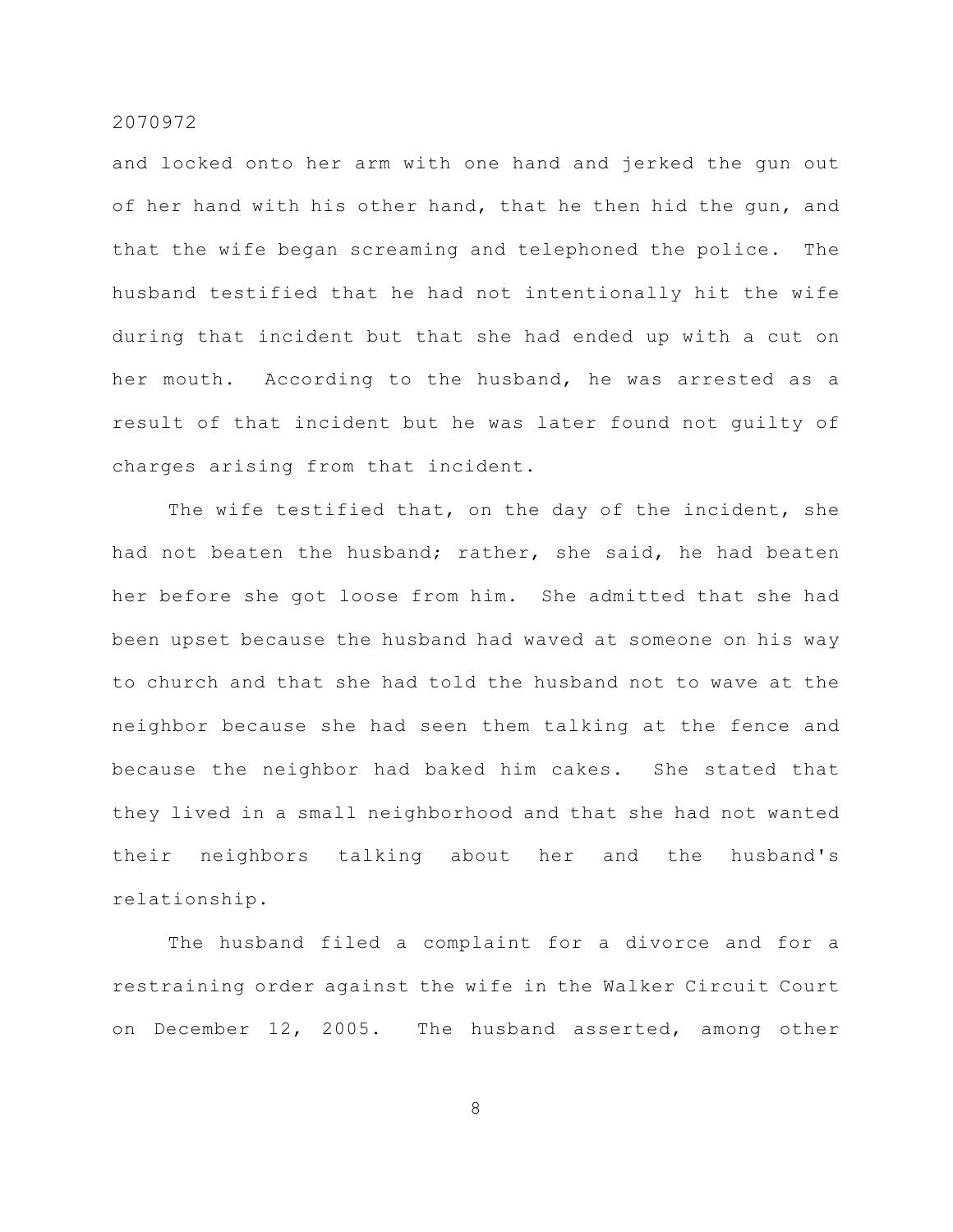and locked onto her arm with one hand and jerked the gun out of her hand with his other hand, that he then hid the gun, and that the wife began screaming and telephoned the police. The husband testified that he had not intentionally hit the wife during that incident but that she had ended up with a cut on her mouth. According to the husband, he was arrested as a result of that incident but he was later found not guilty of charges arising from that incident.

The wife testified that, on the day of the incident, she had not beaten the husband; rather, she said, he had beaten her before she got loose from him. She admitted that she had been upset because the husband had waved at someone on his way to church and that she had told the husband not to wave at the neighbor because she had seen them talking at the fence and because the neighbor had baked him cakes. She stated that they lived in a small neighborhood and that she had not wanted their neighbors talking about her and the husband's relationship.

The husband filed a complaint for a divorce and for a restraining order against the wife in the Walker Circuit Court on December 12, 2005. The husband asserted, among other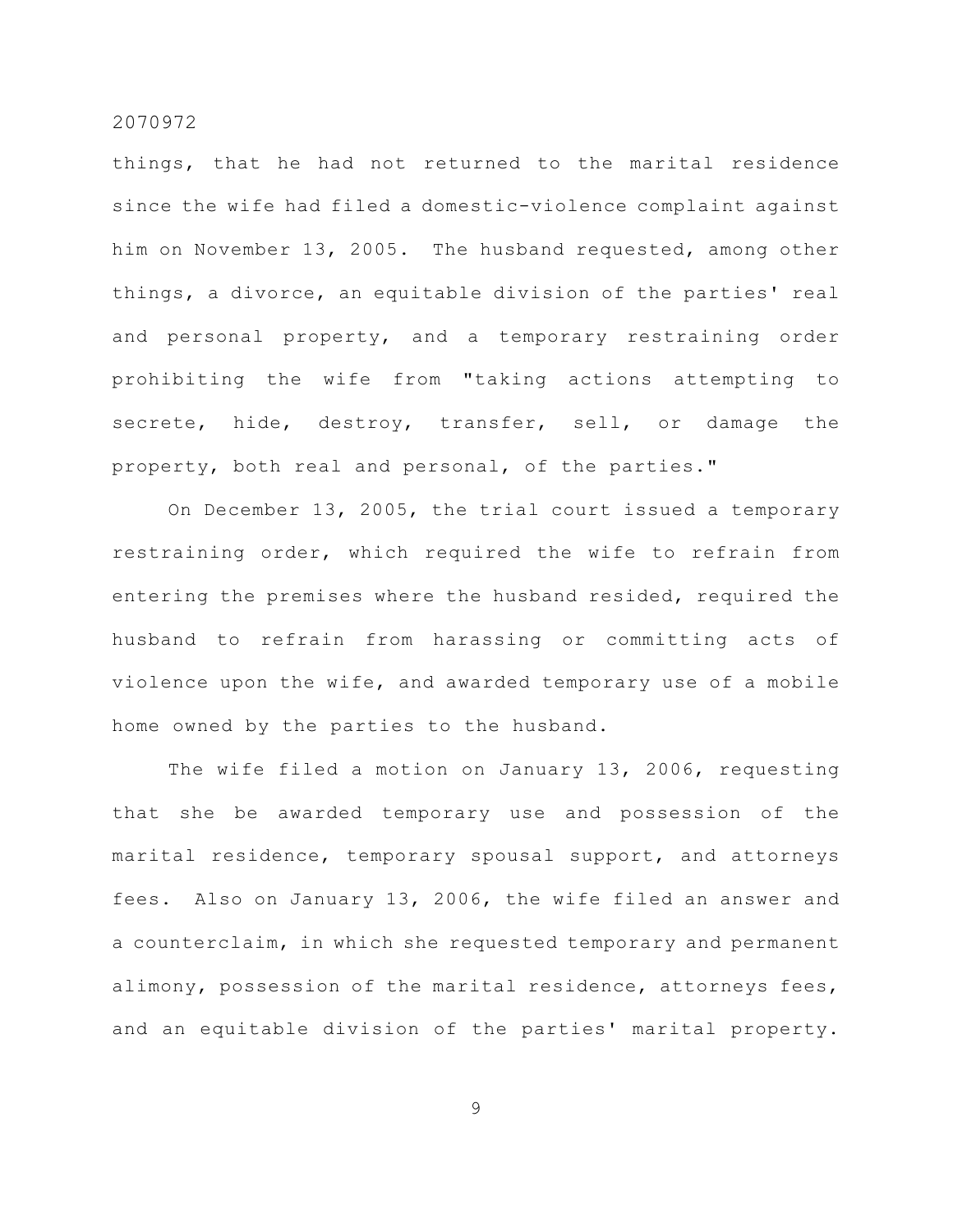things, that he had not returned to the marital residence since the wife had filed a domestic-violence complaint against him on November 13, 2005. The husband requested, among other things, a divorce, an equitable division of the parties' real and personal property, and a temporary restraining order prohibiting the wife from "taking actions attempting to secrete, hide, destroy, transfer, sell, or damage the property, both real and personal, of the parties."

On December 13, 2005, the trial court issued a temporary restraining order, which required the wife to refrain from entering the premises where the husband resided, required the husband to refrain from harassing or committing acts of violence upon the wife, and awarded temporary use of a mobile home owned by the parties to the husband.

The wife filed a motion on January 13, 2006, requesting that she be awarded temporary use and possession of the marital residence, temporary spousal support, and attorneys fees. Also on January 13, 2006, the wife filed an answer and a counterclaim, in which she requested temporary and permanent alimony, possession of the marital residence, attorneys fees, and an equitable division of the parties' marital property.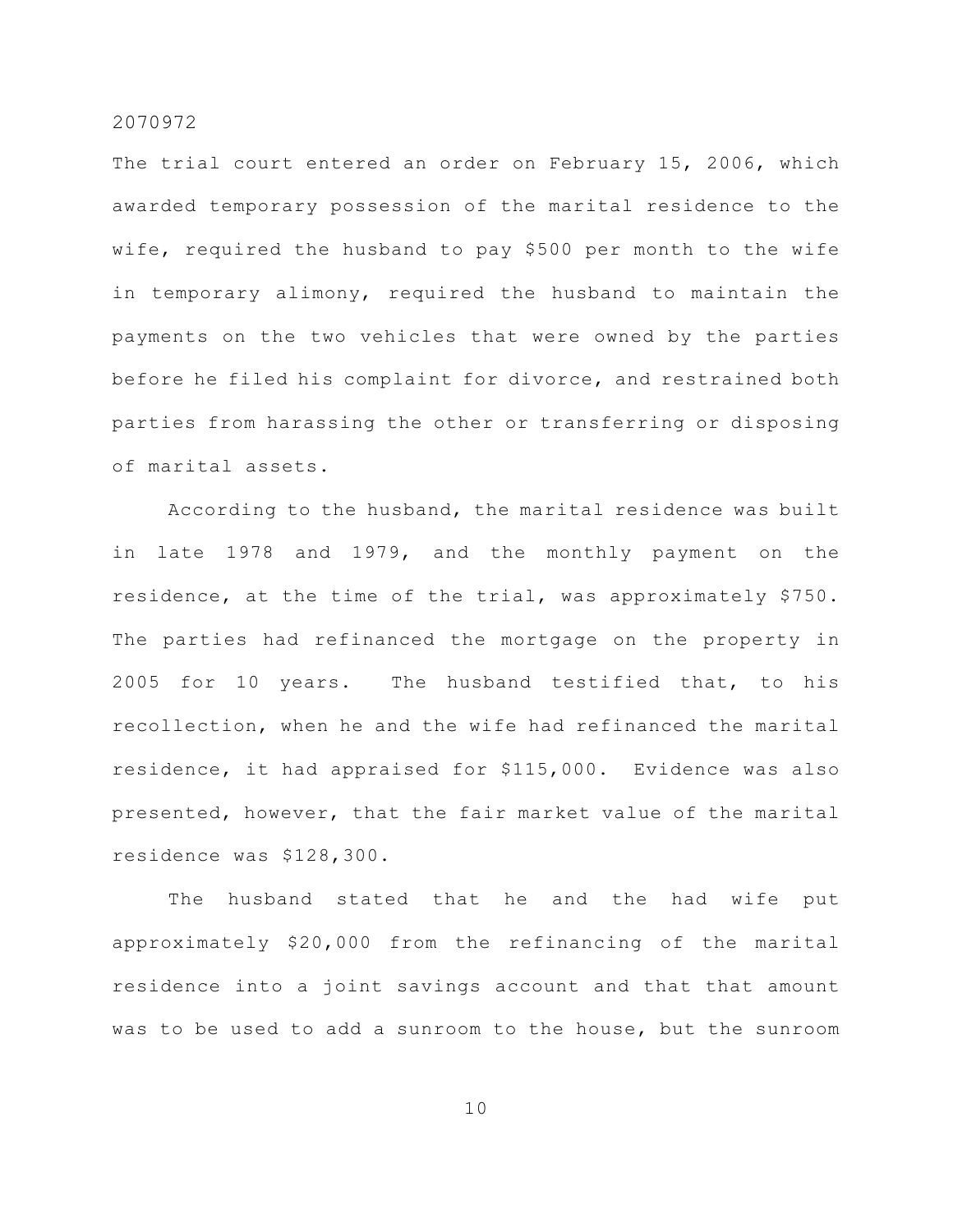The trial court entered an order on February 15, 2006, which awarded temporary possession of the marital residence to the wife, required the husband to pay \$500 per month to the wife in temporary alimony, required the husband to maintain the payments on the two vehicles that were owned by the parties before he filed his complaint for divorce, and restrained both parties from harassing the other or transferring or disposing of marital assets.

According to the husband, the marital residence was built in late 1978 and 1979, and the monthly payment on the residence, at the time of the trial, was approximately \$750. The parties had refinanced the mortgage on the property in 2005 for 10 years. The husband testified that, to his recollection, when he and the wife had refinanced the marital residence, it had appraised for \$115,000. Evidence was also presented, however, that the fair market value of the marital residence was \$128,300.

The husband stated that he and the had wife put approximately \$20,000 from the refinancing of the marital residence into a joint savings account and that that amount was to be used to add a sunroom to the house, but the sunroom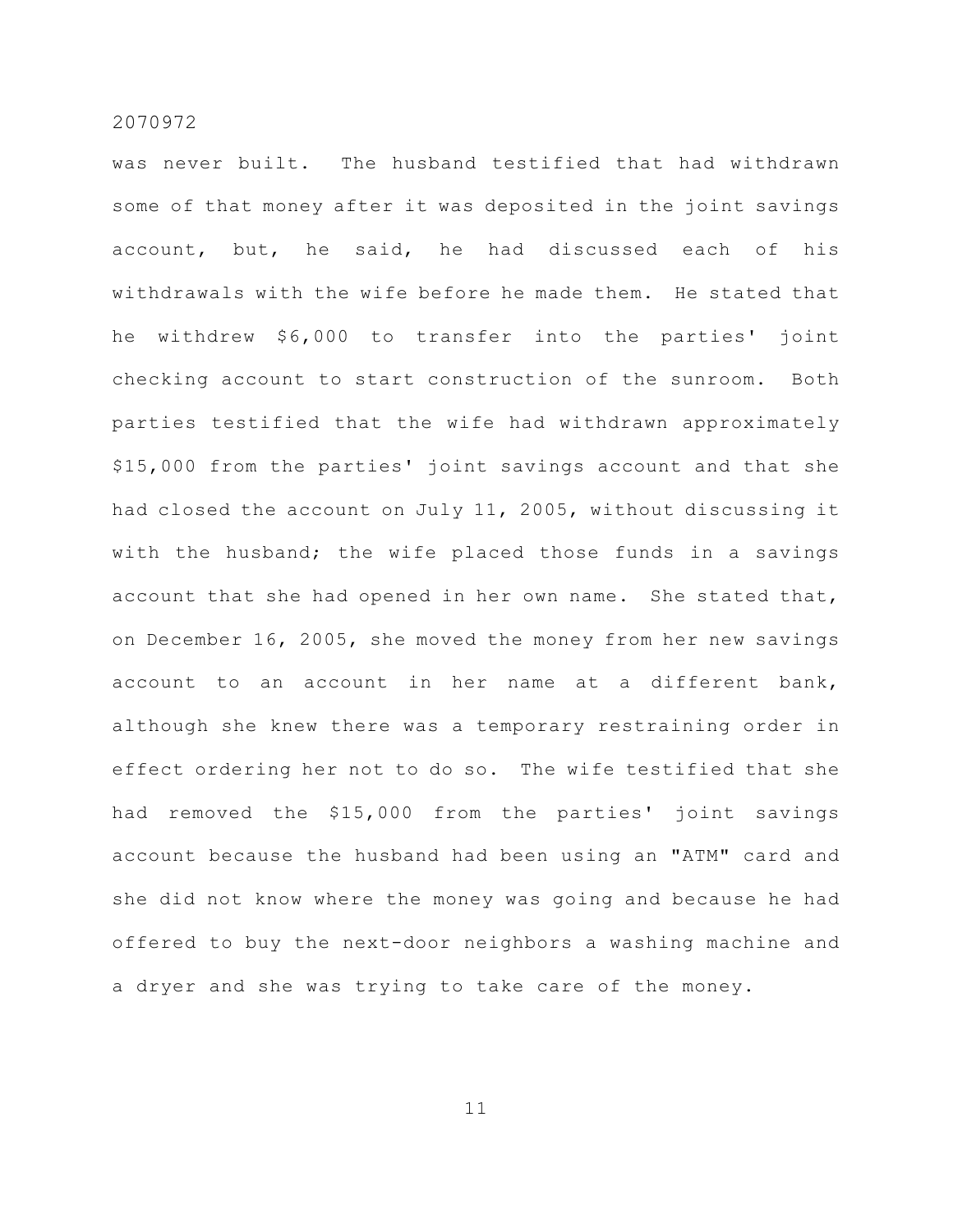was never built. The husband testified that had withdrawn some of that money after it was deposited in the joint savings account, but, he said, he had discussed each of his withdrawals with the wife before he made them. He stated that he withdrew \$6,000 to transfer into the parties' joint checking account to start construction of the sunroom. Both parties testified that the wife had withdrawn approximately \$15,000 from the parties' joint savings account and that she had closed the account on July 11, 2005, without discussing it with the husband; the wife placed those funds in a savings account that she had opened in her own name. She stated that, on December 16, 2005, she moved the money from her new savings account to an account in her name at a different bank, although she knew there was a temporary restraining order in effect ordering her not to do so. The wife testified that she had removed the \$15,000 from the parties' joint savings account because the husband had been using an "ATM" card and she did not know where the money was going and because he had offered to buy the next-door neighbors a washing machine and a dryer and she was trying to take care of the money.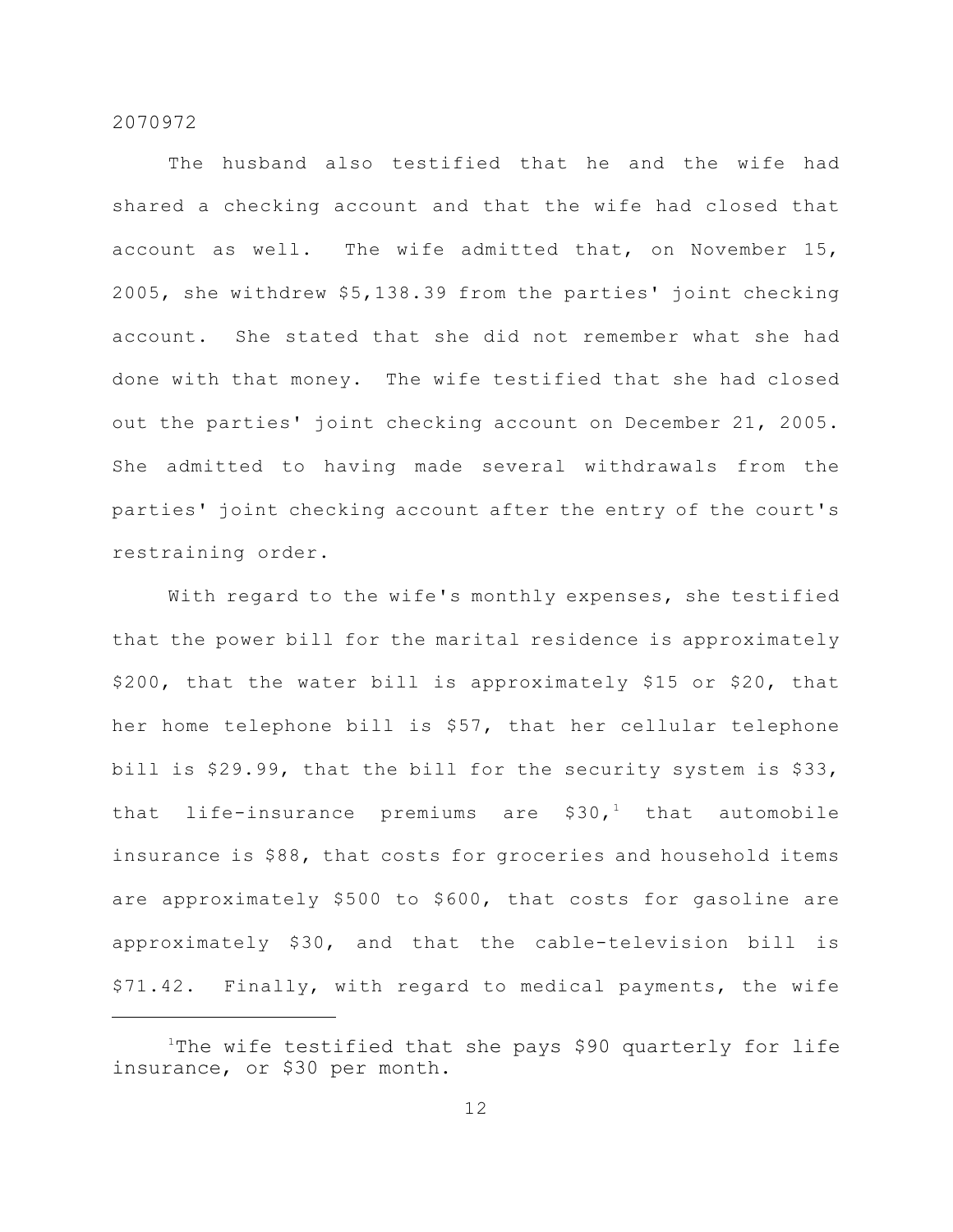The husband also testified that he and the wife had shared a checking account and that the wife had closed that account as well. The wife admitted that, on November 15, 2005, she withdrew \$5,138.39 from the parties' joint checking account. She stated that she did not remember what she had done with that money. The wife testified that she had closed out the parties' joint checking account on December 21, 2005. She admitted to having made several withdrawals from the parties' joint checking account after the entry of the court's restraining order.

With regard to the wife's monthly expenses, she testified that the power bill for the marital residence is approximately \$200, that the water bill is approximately \$15 or \$20, that her home telephone bill is \$57, that her cellular telephone bill is \$29.99, that the bill for the security system is \$33, that life-insurance premiums are  $$30<sub>1</sub><sup>1</sup>$  that automobile insurance is \$88, that costs for groceries and household items are approximately \$500 to \$600, that costs for gasoline are approximately \$30, and that the cable-television bill is \$71.42. Finally, with regard to medical payments, the wife

The wife testified that she pays \$90 quarterly for life insurance, or \$30 per month.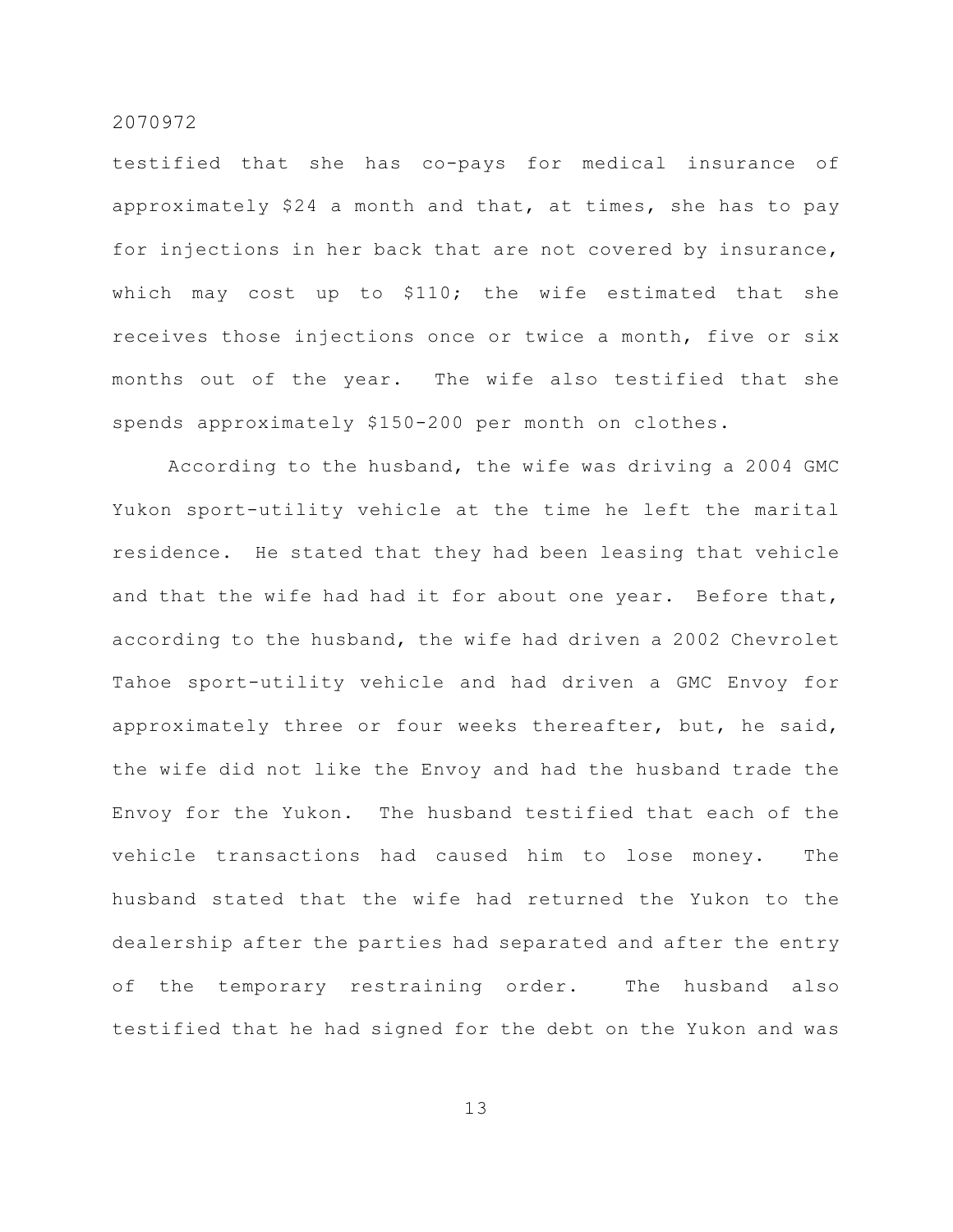testified that she has co-pays for medical insurance of approximately \$24 a month and that, at times, she has to pay for injections in her back that are not covered by insurance, which may cost up to \$110; the wife estimated that she receives those injections once or twice a month, five or six months out of the year. The wife also testified that she spends approximately \$150-200 per month on clothes.

According to the husband, the wife was driving a 2004 GMC Yukon sport-utility vehicle at the time he left the marital residence. He stated that they had been leasing that vehicle and that the wife had had it for about one year. Before that, according to the husband, the wife had driven a 2002 Chevrolet Tahoe sport-utility vehicle and had driven a GMC Envoy for approximately three or four weeks thereafter, but, he said, the wife did not like the Envoy and had the husband trade the Envoy for the Yukon. The husband testified that each of the vehicle transactions had caused him to lose money. The husband stated that the wife had returned the Yukon to the dealership after the parties had separated and after the entry of the temporary restraining order. The husband also testified that he had signed for the debt on the Yukon and was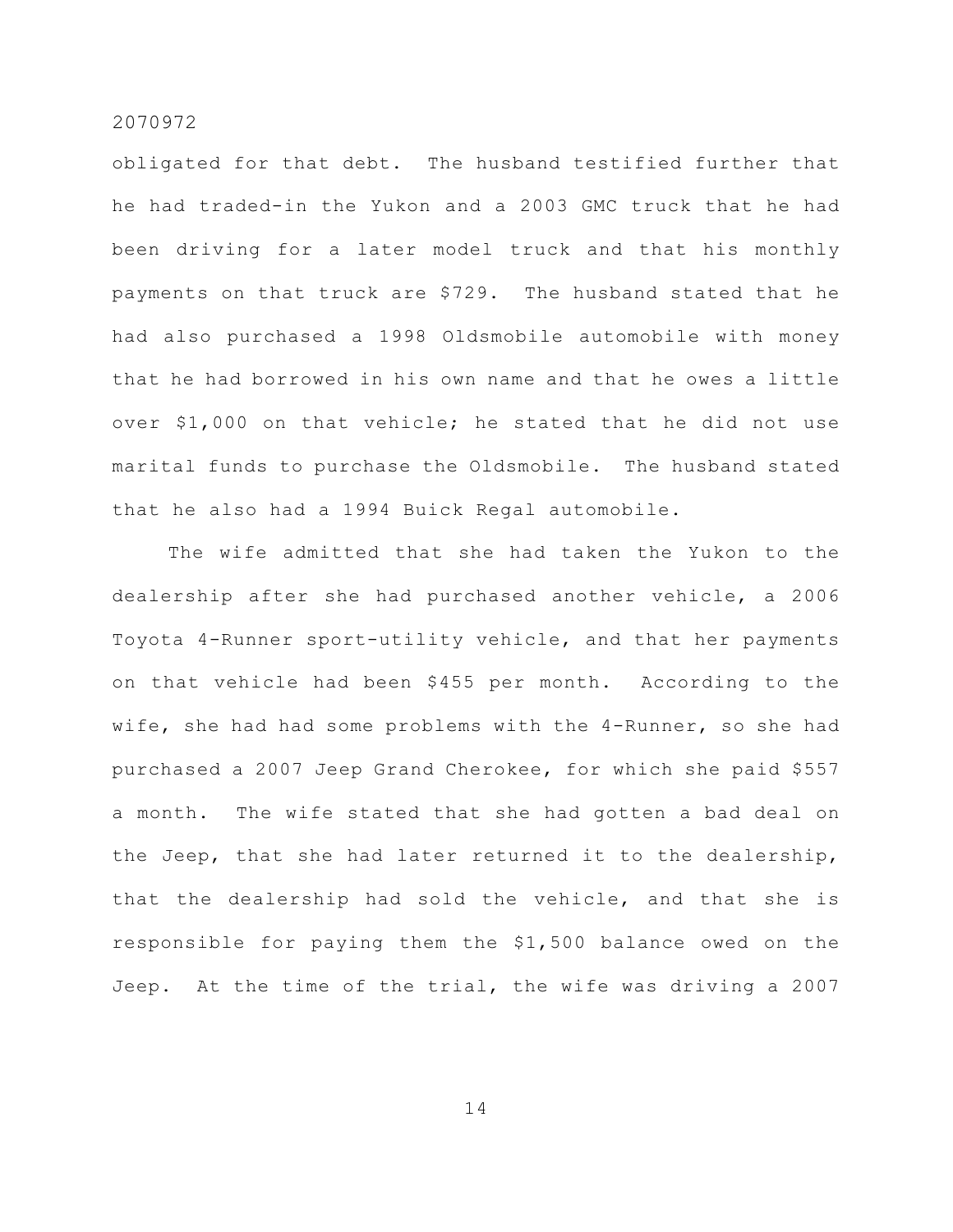obligated for that debt. The husband testified further that he had traded-in the Yukon and a 2003 GMC truck that he had been driving for a later model truck and that his monthly payments on that truck are \$729. The husband stated that he had also purchased a 1998 Oldsmobile automobile with money that he had borrowed in his own name and that he owes a little over \$1,000 on that vehicle; he stated that he did not use marital funds to purchase the Oldsmobile. The husband stated that he also had a 1994 Buick Regal automobile.

The wife admitted that she had taken the Yukon to the dealership after she had purchased another vehicle, a 2006 Toyota 4-Runner sport-utility vehicle, and that her payments on that vehicle had been \$455 per month. According to the wife, she had had some problems with the 4-Runner, so she had purchased a 2007 Jeep Grand Cherokee, for which she paid \$557 a month. The wife stated that she had gotten a bad deal on the Jeep, that she had later returned it to the dealership, that the dealership had sold the vehicle, and that she is responsible for paying them the \$1,500 balance owed on the Jeep. At the time of the trial, the wife was driving a 2007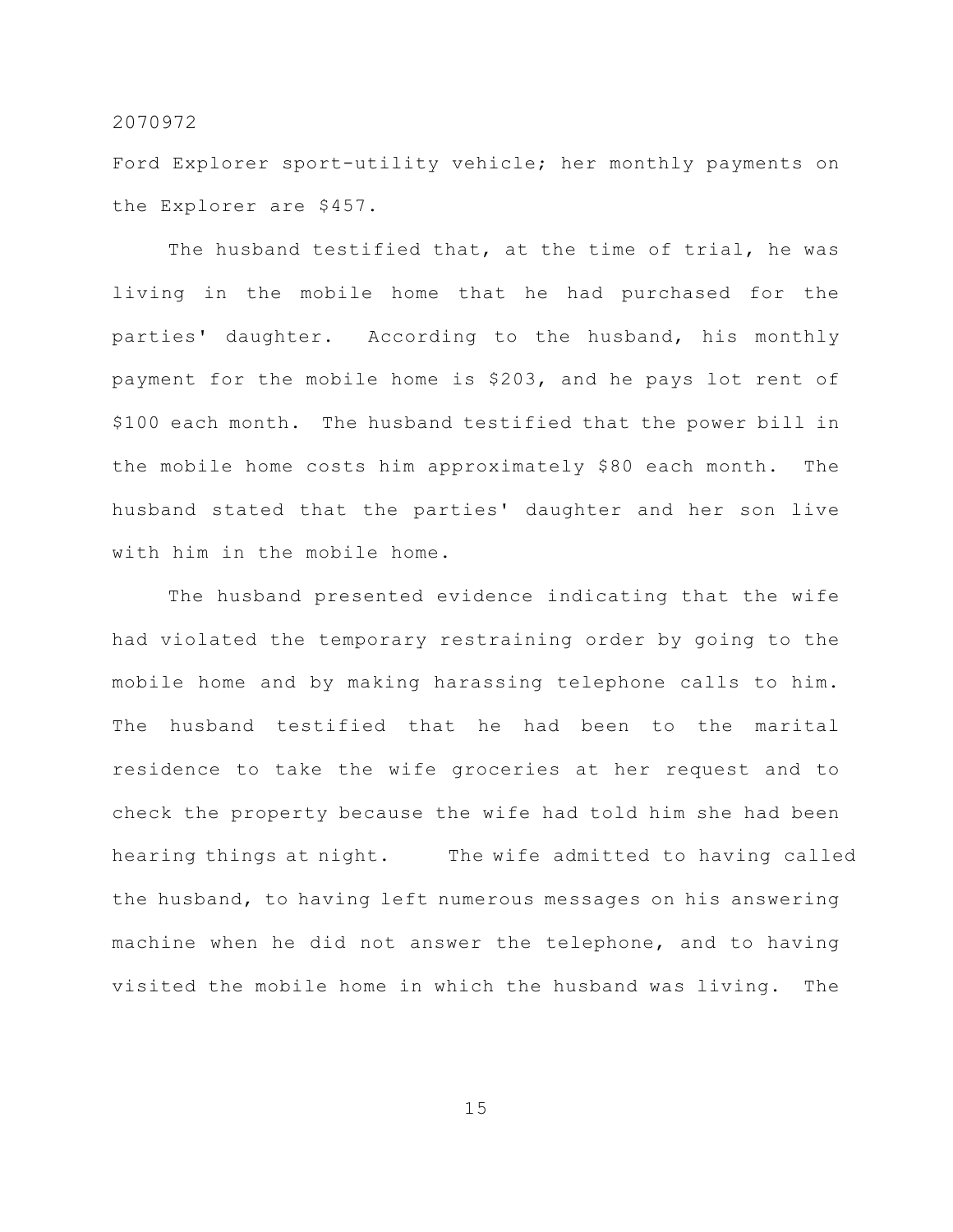Ford Explorer sport-utility vehicle; her monthly payments on the Explorer are \$457.

The husband testified that, at the time of trial, he was living in the mobile home that he had purchased for the parties' daughter. According to the husband, his monthly payment for the mobile home is \$203, and he pays lot rent of \$100 each month. The husband testified that the power bill in the mobile home costs him approximately \$80 each month. The husband stated that the parties' daughter and her son live with him in the mobile home.

The husband presented evidence indicating that the wife had violated the temporary restraining order by going to the mobile home and by making harassing telephone calls to him. The husband testified that he had been to the marital residence to take the wife groceries at her request and to check the property because the wife had told him she had been hearing things at night. The wife admitted to having called the husband, to having left numerous messages on his answering machine when he did not answer the telephone, and to having visited the mobile home in which the husband was living. The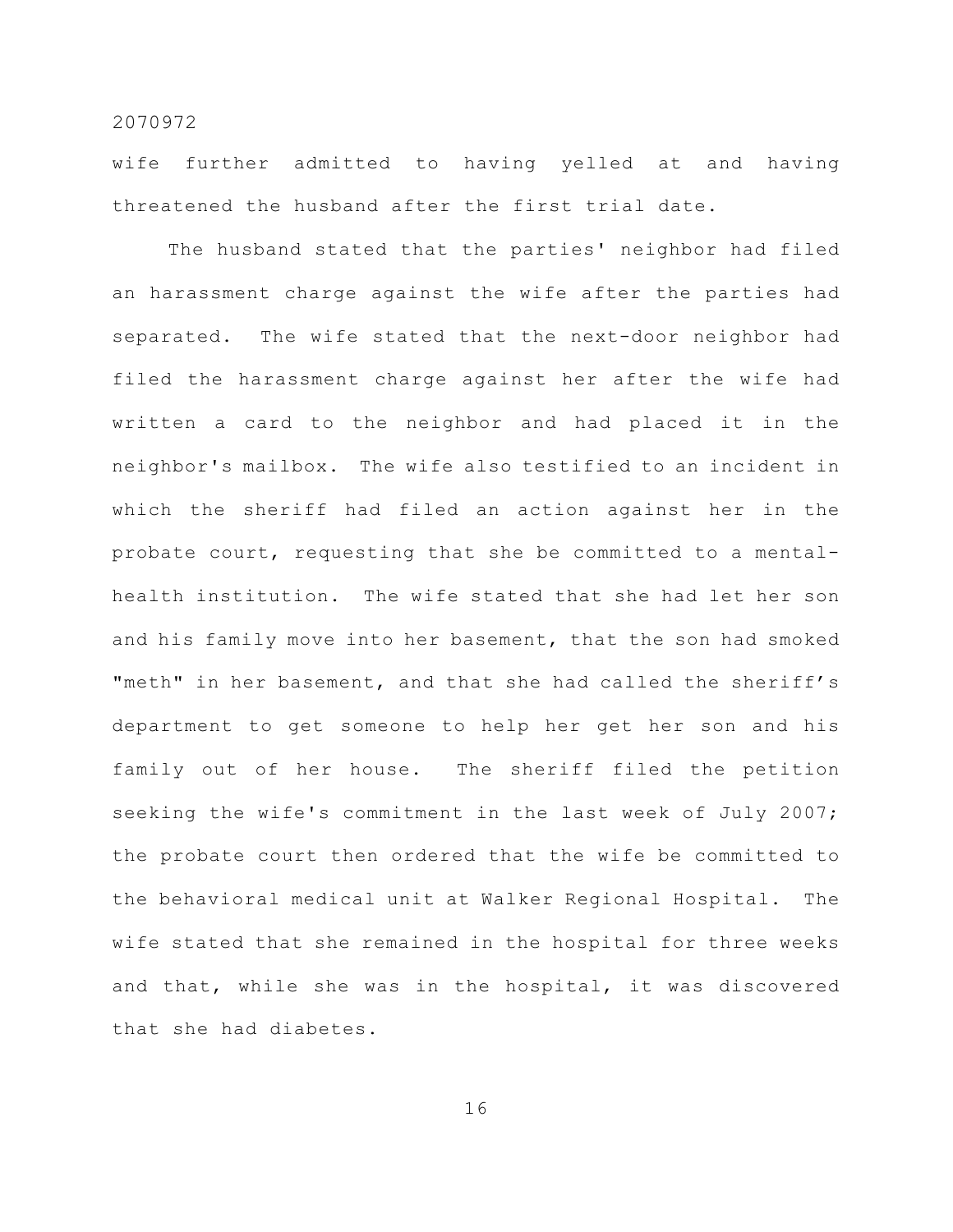wife further admitted to having yelled at and having threatened the husband after the first trial date.

The husband stated that the parties' neighbor had filed an harassment charge against the wife after the parties had separated. The wife stated that the next-door neighbor had filed the harassment charge against her after the wife had written a card to the neighbor and had placed it in the neighbor's mailbox. The wife also testified to an incident in which the sheriff had filed an action against her in the probate court, requesting that she be committed to a mentalhealth institution. The wife stated that she had let her son and his family move into her basement, that the son had smoked "meth" in her basement, and that she had called the sheriff's department to get someone to help her get her son and his family out of her house. The sheriff filed the petition seeking the wife's commitment in the last week of July 2007; the probate court then ordered that the wife be committed to the behavioral medical unit at Walker Regional Hospital. The wife stated that she remained in the hospital for three weeks and that, while she was in the hospital, it was discovered that she had diabetes.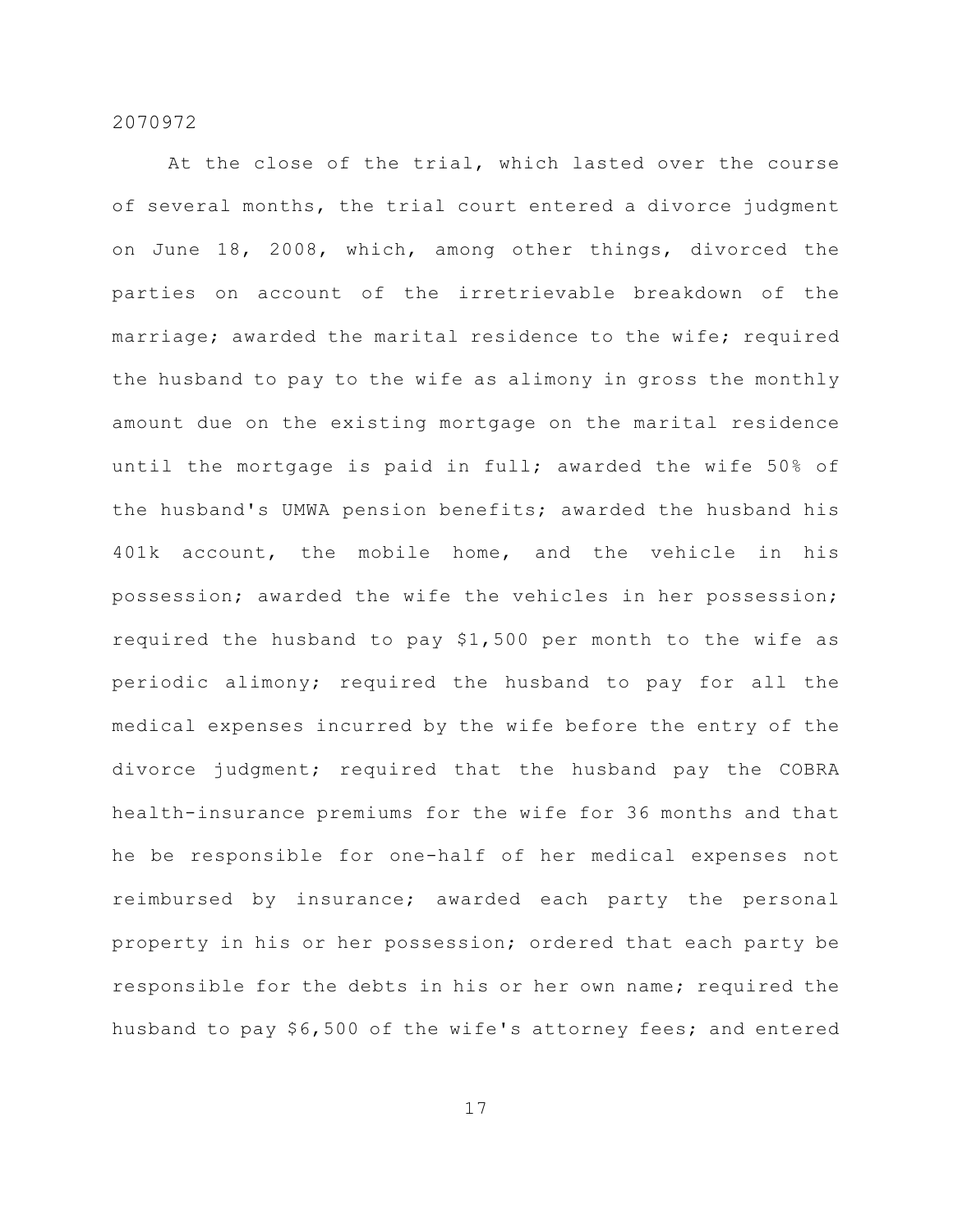At the close of the trial, which lasted over the course of several months, the trial court entered a divorce judgment on June 18, 2008, which, among other things, divorced the parties on account of the irretrievable breakdown of the marriage; awarded the marital residence to the wife; required the husband to pay to the wife as alimony in gross the monthly amount due on the existing mortgage on the marital residence until the mortgage is paid in full; awarded the wife 50% of the husband's UMWA pension benefits; awarded the husband his 401k account, the mobile home, and the vehicle in his possession; awarded the wife the vehicles in her possession; required the husband to pay \$1,500 per month to the wife as periodic alimony; required the husband to pay for all the medical expenses incurred by the wife before the entry of the divorce judgment; required that the husband pay the COBRA health-insurance premiums for the wife for 36 months and that he be responsible for one-half of her medical expenses not reimbursed by insurance; awarded each party the personal property in his or her possession; ordered that each party be responsible for the debts in his or her own name; required the husband to pay \$6,500 of the wife's attorney fees; and entered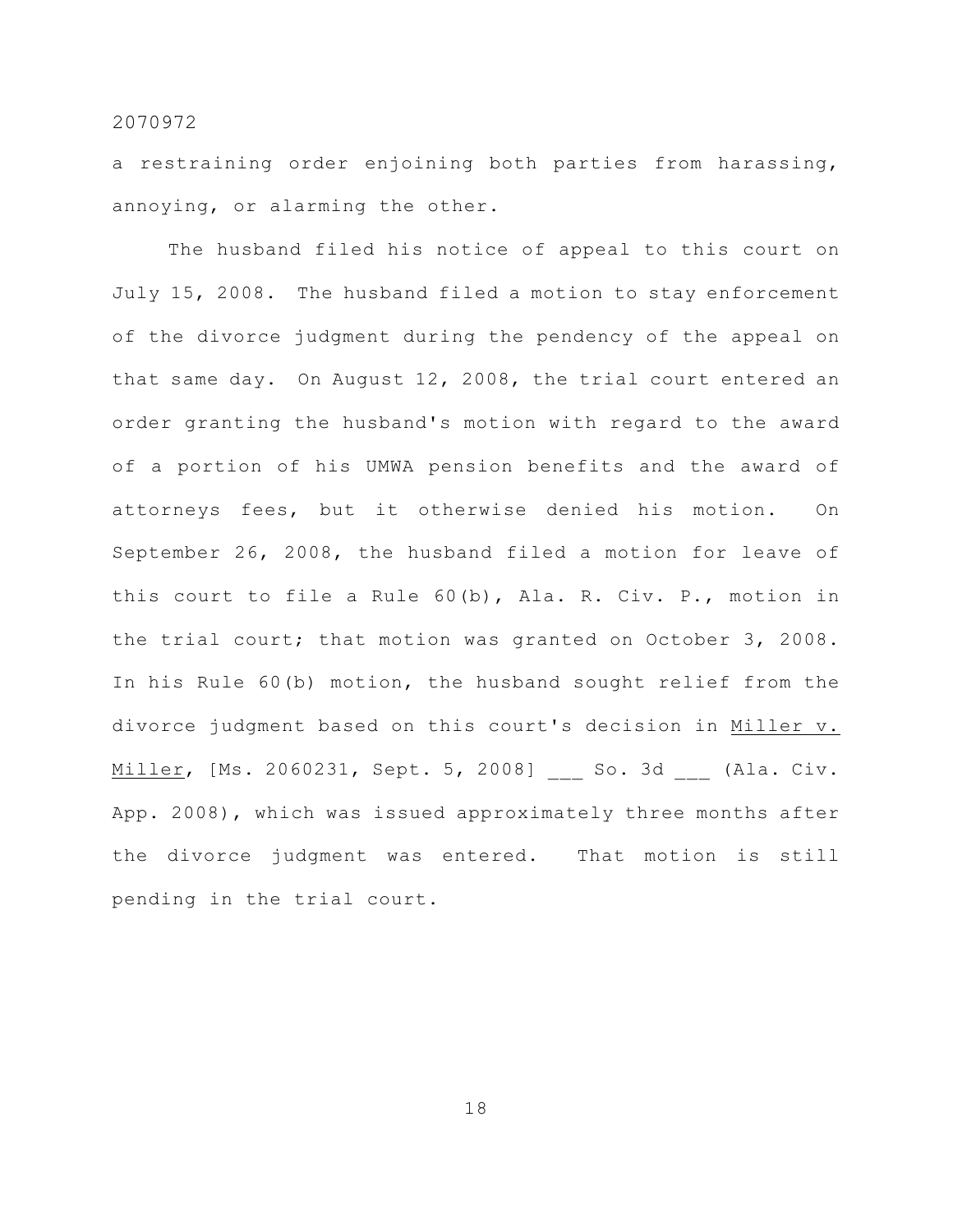a restraining order enjoining both parties from harassing, annoying, or alarming the other.

The husband filed his notice of appeal to this court on July 15, 2008. The husband filed a motion to stay enforcement of the divorce judgment during the pendency of the appeal on that same day. On August 12, 2008, the trial court entered an order granting the husband's motion with regard to the award of a portion of his UMWA pension benefits and the award of attorneys fees, but it otherwise denied his motion. On September 26, 2008, the husband filed a motion for leave of this court to file a Rule 60(b), Ala. R. Civ. P., motion in the trial court; that motion was granted on October 3, 2008. In his Rule 60(b) motion, the husband sought relief from the divorce judgment based on this court's decision in Miller v. Miller, [Ms. 2060231, Sept. 5, 2008] So. 3d (Ala. Civ. App. 2008), which was issued approximately three months after the divorce judgment was entered. That motion is still pending in the trial court.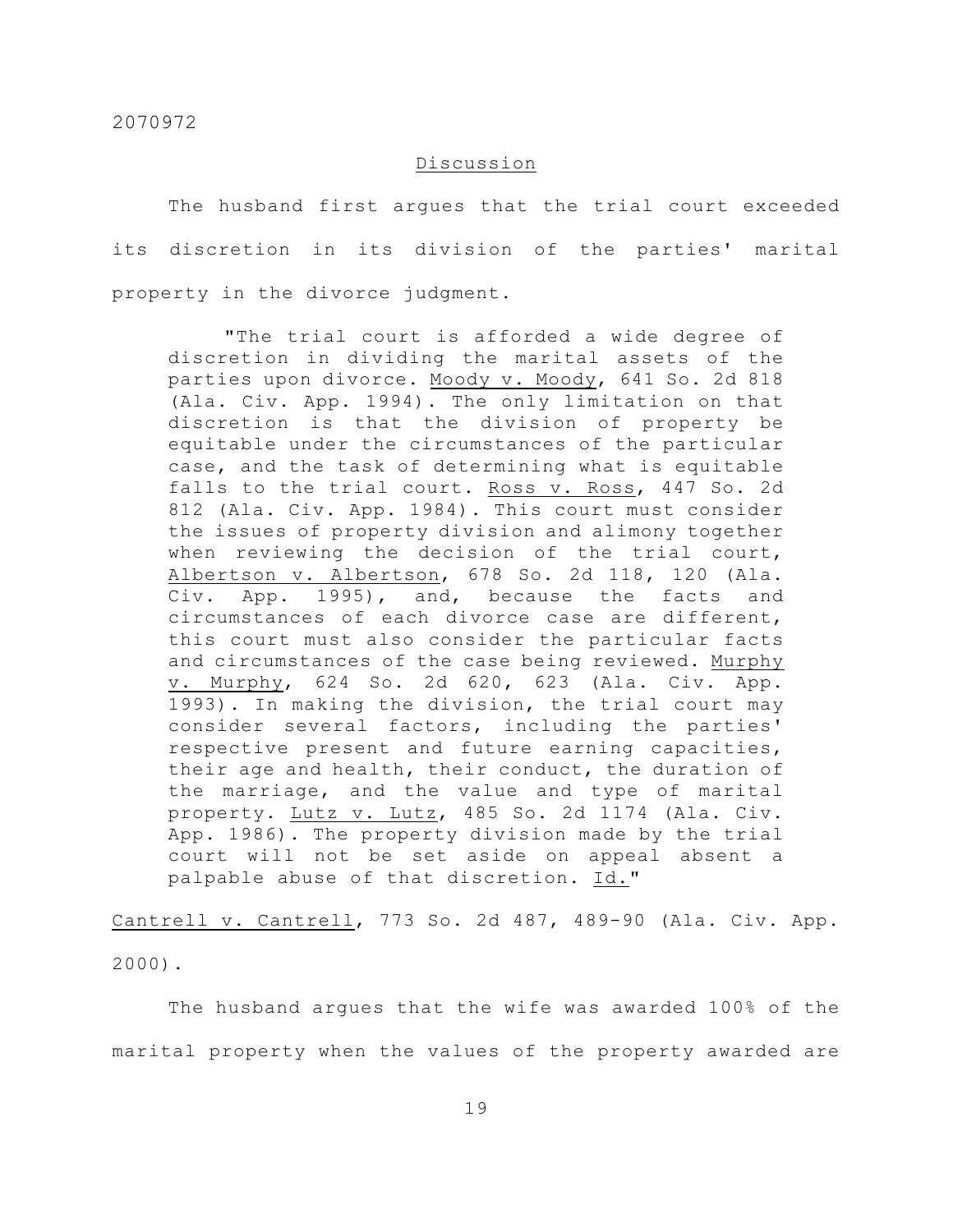## Discussion

The husband first argues that the trial court exceeded its discretion in its division of the parties' marital property in the divorce judgment.

"The trial court is afforded a wide degree of discretion in dividing the marital assets of the parties upon divorce. Moody v. Moody, 641 So. 2d 818 (Ala. Civ. App. 1994). The only limitation on that discretion is that the division of property be equitable under the circumstances of the particular case, and the task of determining what is equitable falls to the trial court. Ross v. Ross, 447 So. 2d 812 (Ala. Civ. App. 1984). This court must consider the issues of property division and alimony together when reviewing the decision of the trial court, Albertson v. Albertson, 678 So. 2d 118, 120 (Ala. Civ. App. 1995), and, because the facts and circumstances of each divorce case are different, this court must also consider the particular facts and circumstances of the case being reviewed. Murphy v. Murphy, 624 So. 2d 620, 623 (Ala. Civ. App. 1993). In making the division, the trial court may consider several factors, including the parties' respective present and future earning capacities, their age and health, their conduct, the duration of the marriage, and the value and type of marital property. Lutz v. Lutz, 485 So. 2d 1174 (Ala. Civ. App. 1986). The property division made by the trial court will not be set aside on appeal absent a palpable abuse of that discretion. Id."

Cantrell v. Cantrell, 773 So. 2d 487, 489-90 (Ala. Civ. App. 2000).

The husband argues that the wife was awarded 100% of the marital property when the values of the property awarded are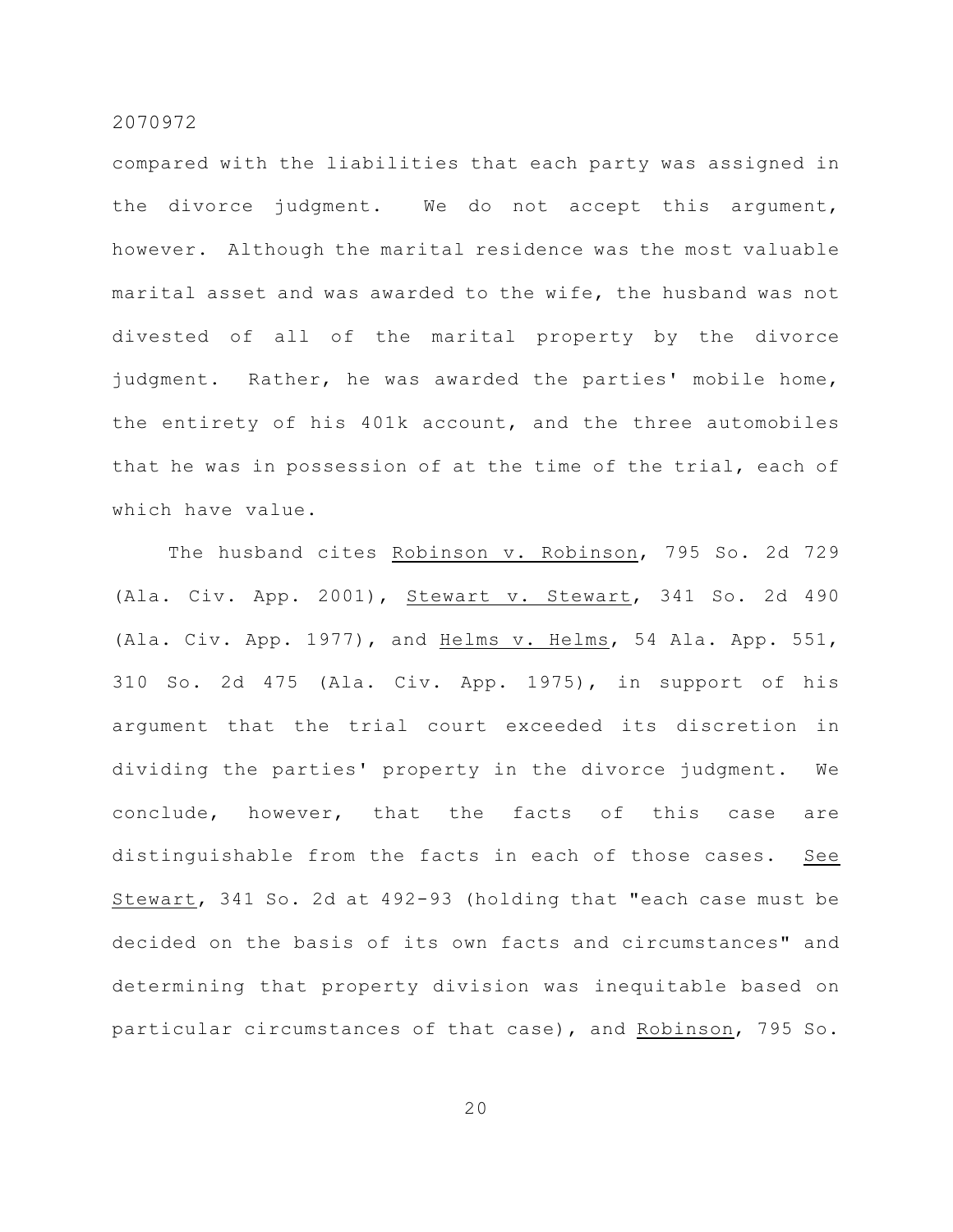compared with the liabilities that each party was assigned in the divorce judgment. We do not accept this argument, however. Although the marital residence was the most valuable marital asset and was awarded to the wife, the husband was not divested of all of the marital property by the divorce judgment. Rather, he was awarded the parties' mobile home, the entirety of his 401k account, and the three automobiles that he was in possession of at the time of the trial, each of which have value.

The husband cites Robinson v. Robinson, 795 So. 2d 729 (Ala. Civ. App. 2001), Stewart v. Stewart, 341 So. 2d 490 (Ala. Civ. App. 1977), and Helms v. Helms, 54 Ala. App. 551, 310 So. 2d 475 (Ala. Civ. App. 1975), in support of his argument that the trial court exceeded its discretion in dividing the parties' property in the divorce judgment. We conclude, however, that the facts of this case are distinguishable from the facts in each of those cases. See Stewart, 341 So. 2d at 492-93 (holding that "each case must be decided on the basis of its own facts and circumstances" and determining that property division was inequitable based on particular circumstances of that case), and Robinson, 795 So.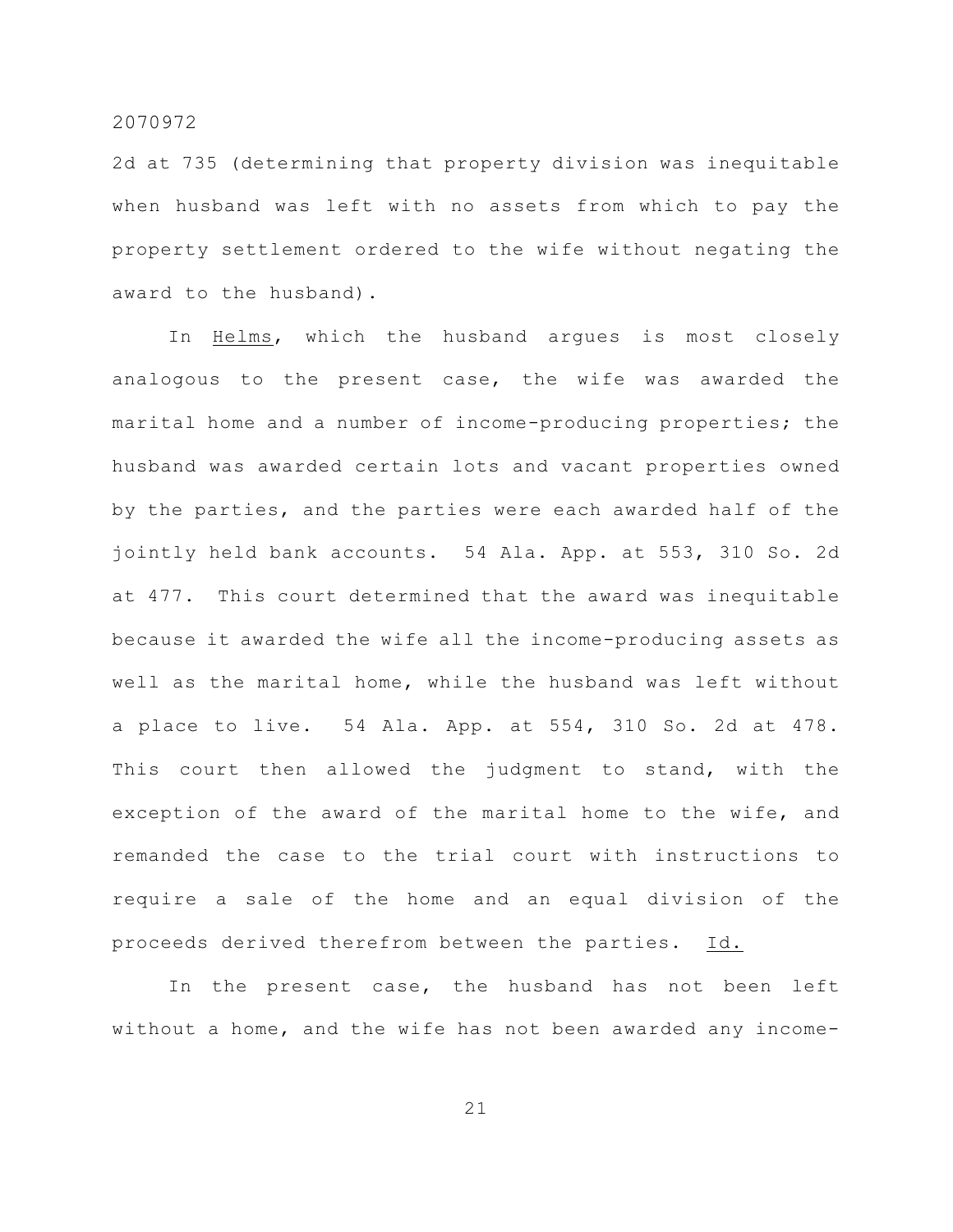2d at 735 (determining that property division was inequitable when husband was left with no assets from which to pay the property settlement ordered to the wife without negating the award to the husband).

In Helms, which the husband argues is most closely analogous to the present case, the wife was awarded the marital home and a number of income-producing properties; the husband was awarded certain lots and vacant properties owned by the parties, and the parties were each awarded half of the jointly held bank accounts. 54 Ala. App. at 553, 310 So. 2d at 477. This court determined that the award was inequitable because it awarded the wife all the income-producing assets as well as the marital home, while the husband was left without a place to live. 54 Ala. App. at 554, 310 So. 2d at 478. This court then allowed the judgment to stand, with the exception of the award of the marital home to the wife, and remanded the case to the trial court with instructions to require a sale of the home and an equal division of the proceeds derived therefrom between the parties. Id.

In the present case, the husband has not been left without a home, and the wife has not been awarded any income-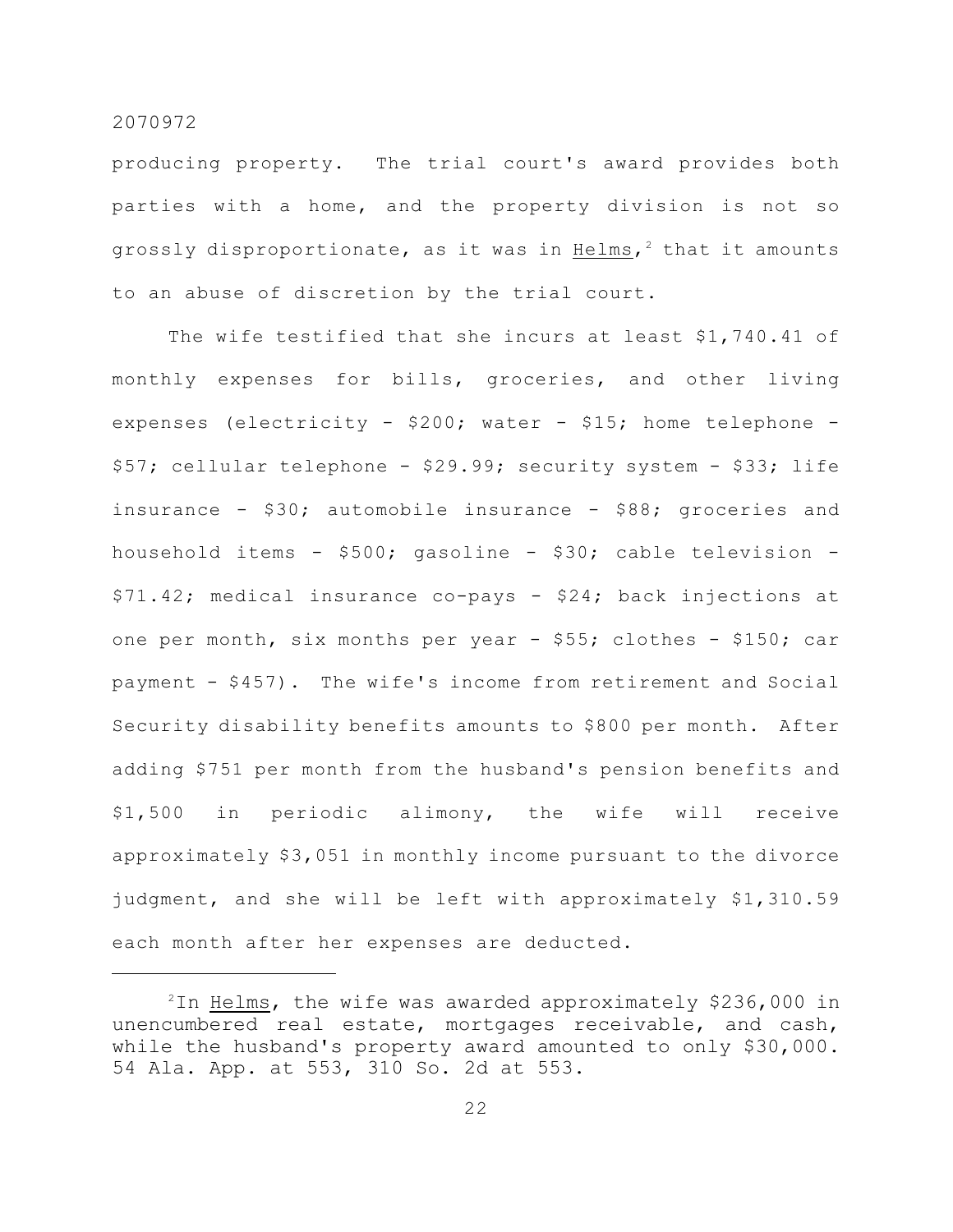producing property. The trial court's award provides both parties with a home, and the property division is not so grossly disproportionate, as it was in Helms,<sup>2</sup> that it amounts to an abuse of discretion by the trial court.

The wife testified that she incurs at least \$1,740.41 of monthly expenses for bills, groceries, and other living expenses (electricity - \$200; water - \$15; home telephone - \$57; cellular telephone - \$29.99; security system - \$33; life insurance - \$30; automobile insurance - \$88; groceries and household items - \$500; gasoline - \$30; cable television - \$71.42; medical insurance co-pays - \$24; back injections at one per month, six months per year - \$55; clothes - \$150; car payment - \$457). The wife's income from retirement and Social Security disability benefits amounts to \$800 per month. After adding \$751 per month from the husband's pension benefits and \$1,500 in periodic alimony, the wife will receive approximately \$3,051 in monthly income pursuant to the divorce judgment, and she will be left with approximately \$1,310.59 each month after her expenses are deducted.

 $^{2}$ In <u>Helms</u>, the wife was awarded approximately \$236,000 in unencumbered real estate, mortgages receivable, and cash, while the husband's property award amounted to only \$30,000. 54 Ala. App. at 553, 310 So. 2d at 553.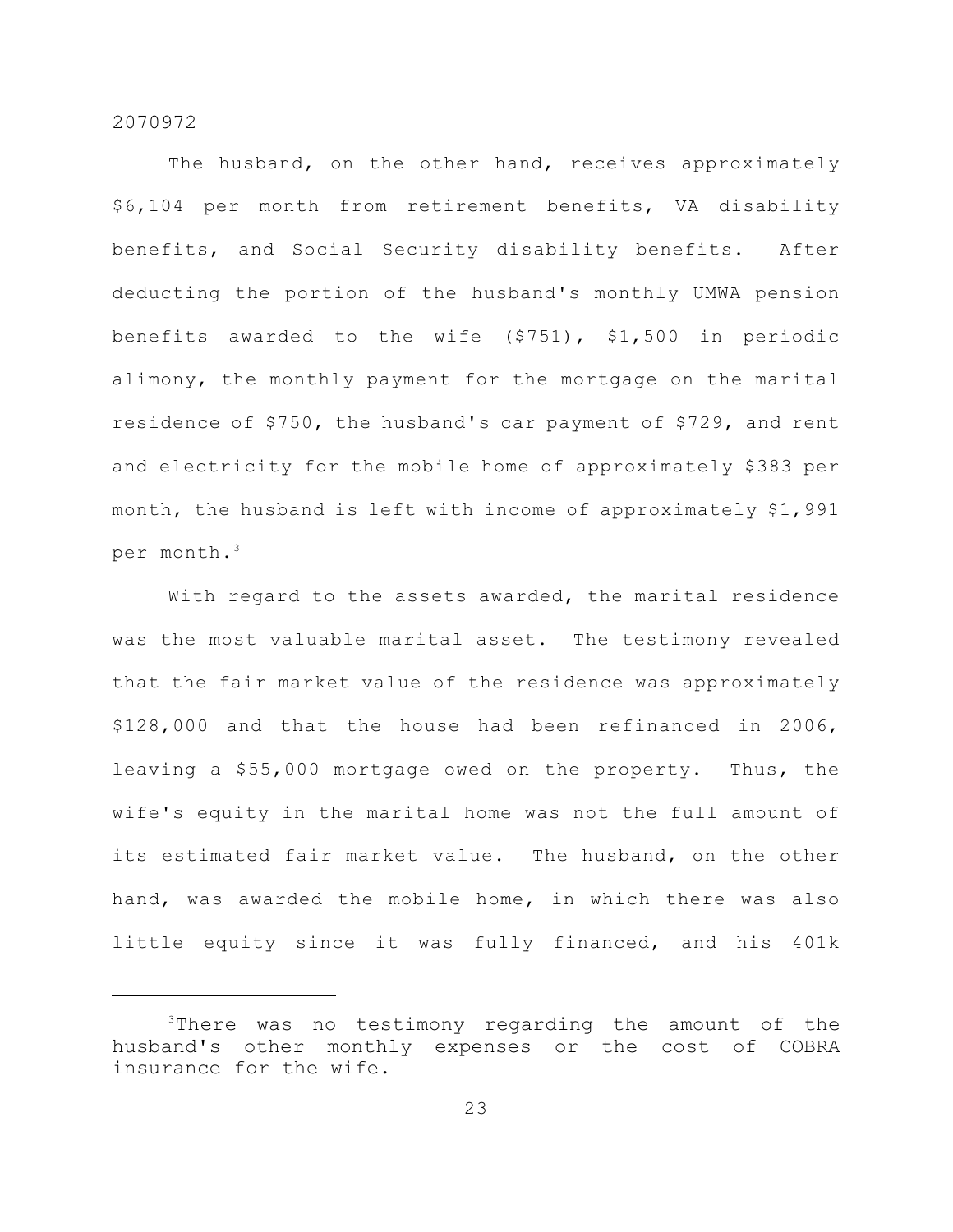The husband, on the other hand, receives approximately \$6,104 per month from retirement benefits, VA disability benefits, and Social Security disability benefits. After deducting the portion of the husband's monthly UMWA pension benefits awarded to the wife (\$751), \$1,500 in periodic alimony, the monthly payment for the mortgage on the marital residence of \$750, the husband's car payment of \$729, and rent and electricity for the mobile home of approximately \$383 per month, the husband is left with income of approximately \$1,991 per month.<sup>3</sup>

With regard to the assets awarded, the marital residence was the most valuable marital asset. The testimony revealed that the fair market value of the residence was approximately \$128,000 and that the house had been refinanced in 2006, leaving a \$55,000 mortgage owed on the property. Thus, the wife's equity in the marital home was not the full amount of its estimated fair market value. The husband, on the other hand, was awarded the mobile home, in which there was also little equity since it was fully financed, and his 401k

 $3$ There was no testimony regarding the amount of the husband's other monthly expenses or the cost of COBRA insurance for the wife.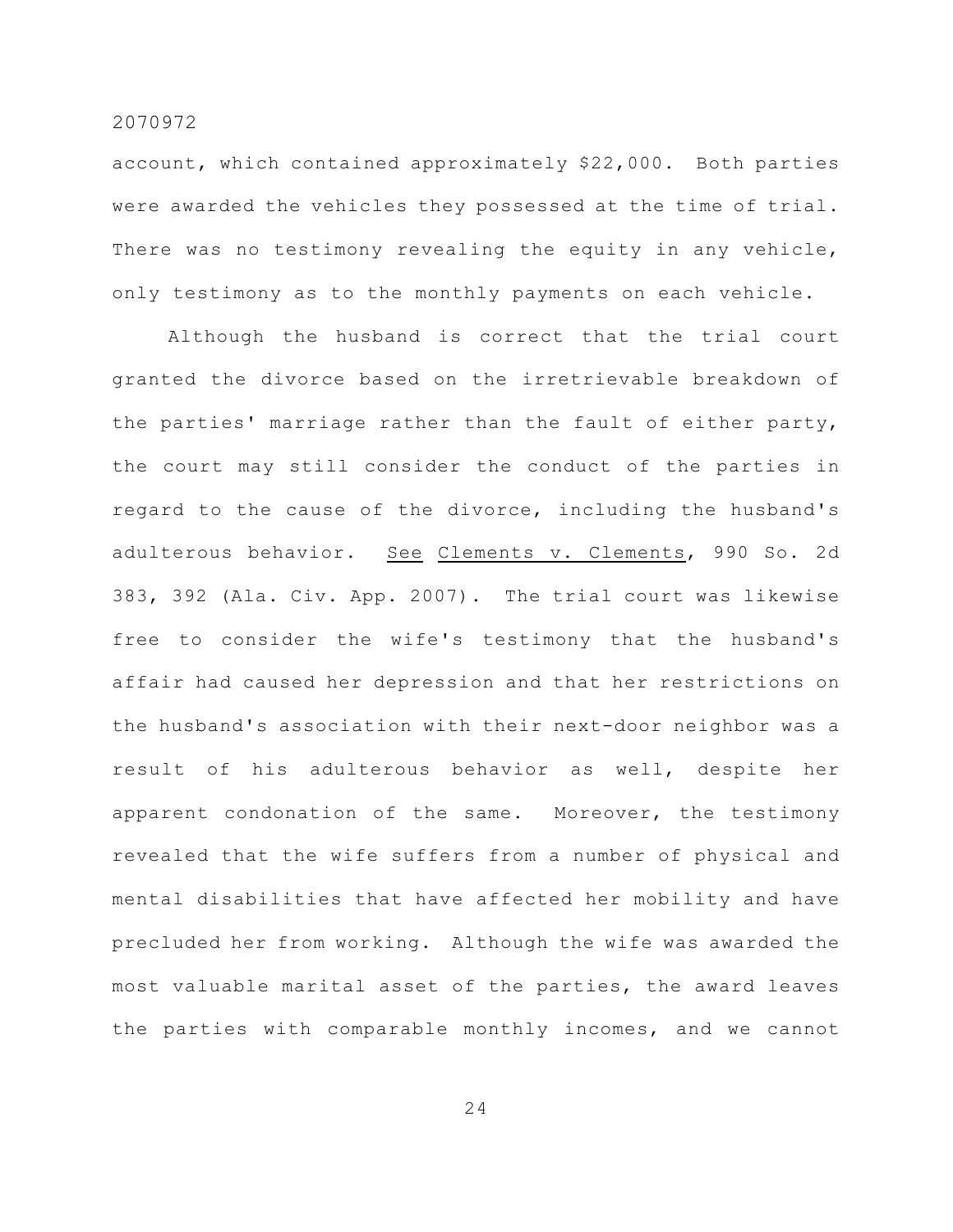account, which contained approximately \$22,000. Both parties were awarded the vehicles they possessed at the time of trial. There was no testimony revealing the equity in any vehicle, only testimony as to the monthly payments on each vehicle.

Although the husband is correct that the trial court granted the divorce based on the irretrievable breakdown of the parties' marriage rather than the fault of either party, the court may still consider the conduct of the parties in regard to the cause of the divorce, including the husband's adulterous behavior. See Clements v. Clements, 990 So. 2d 383, 392 (Ala. Civ. App. 2007). The trial court was likewise free to consider the wife's testimony that the husband's affair had caused her depression and that her restrictions on the husband's association with their next-door neighbor was a result of his adulterous behavior as well, despite her apparent condonation of the same. Moreover, the testimony revealed that the wife suffers from a number of physical and mental disabilities that have affected her mobility and have precluded her from working. Although the wife was awarded the most valuable marital asset of the parties, the award leaves the parties with comparable monthly incomes, and we cannot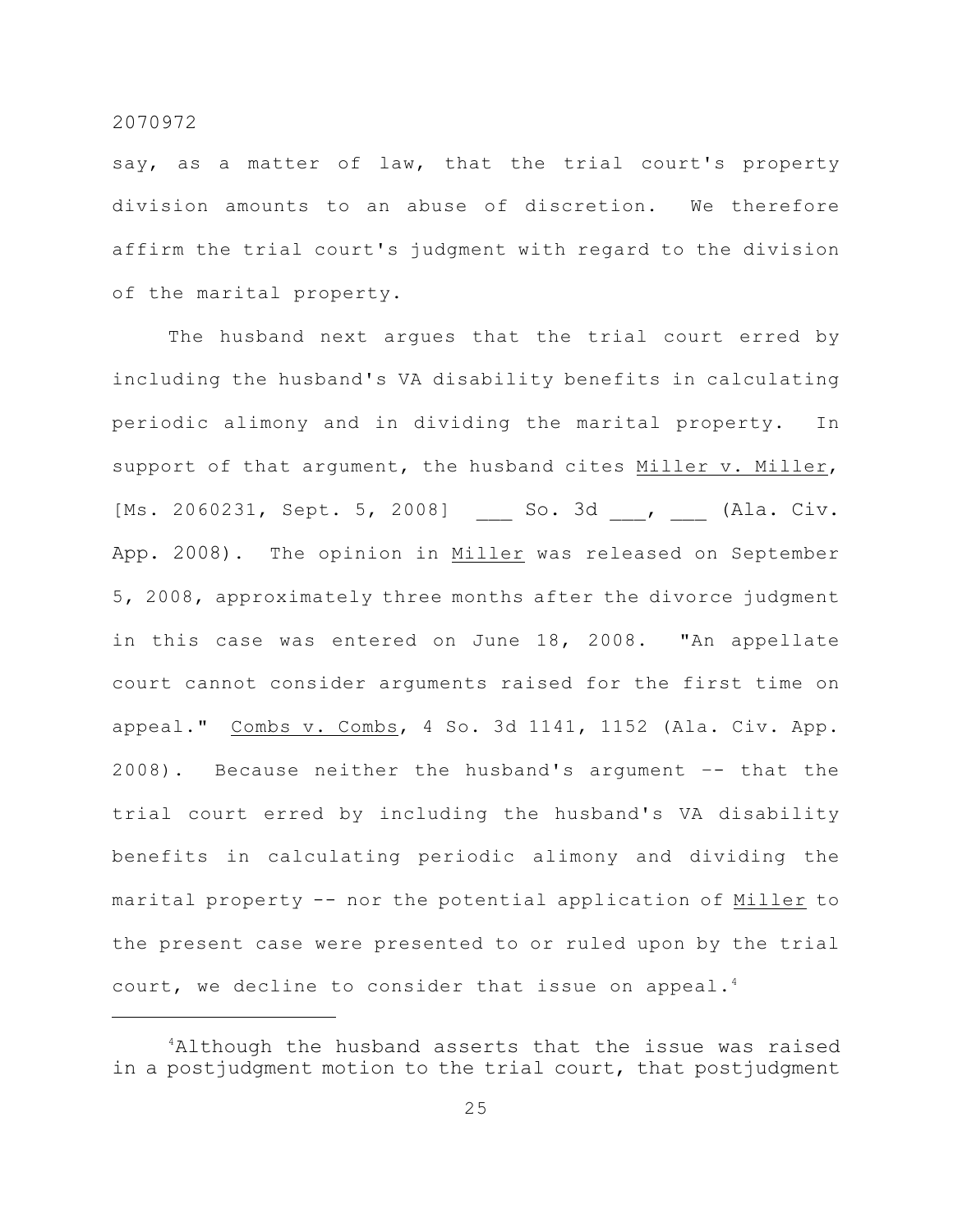say, as a matter of law, that the trial court's property division amounts to an abuse of discretion. We therefore affirm the trial court's judgment with regard to the division of the marital property.

The husband next argues that the trial court erred by including the husband's VA disability benefits in calculating periodic alimony and in dividing the marital property. In support of that argument, the husband cites Miller  $v$ . Miller, [Ms. 2060231, Sept. 5, 2008] \_\_\_ So. 3d \_\_\_, \_\_\_ (Ala. Civ. App. 2008). The opinion in Miller was released on September 5, 2008, approximately three months after the divorce judgment in this case was entered on June 18, 2008. "An appellate court cannot consider arguments raised for the first time on appeal." Combs v. Combs, 4 So. 3d 1141, 1152 (Ala. Civ. App. 2008). Because neither the husband's argument –- that the trial court erred by including the husband's VA disability benefits in calculating periodic alimony and dividing the marital property -- nor the potential application of Miller to the present case were presented to or ruled upon by the trial court, we decline to consider that issue on appeal.<sup>4</sup>

 $4$ Although the husband asserts that the issue was raised in a postjudgment motion to the trial court, that postjudgment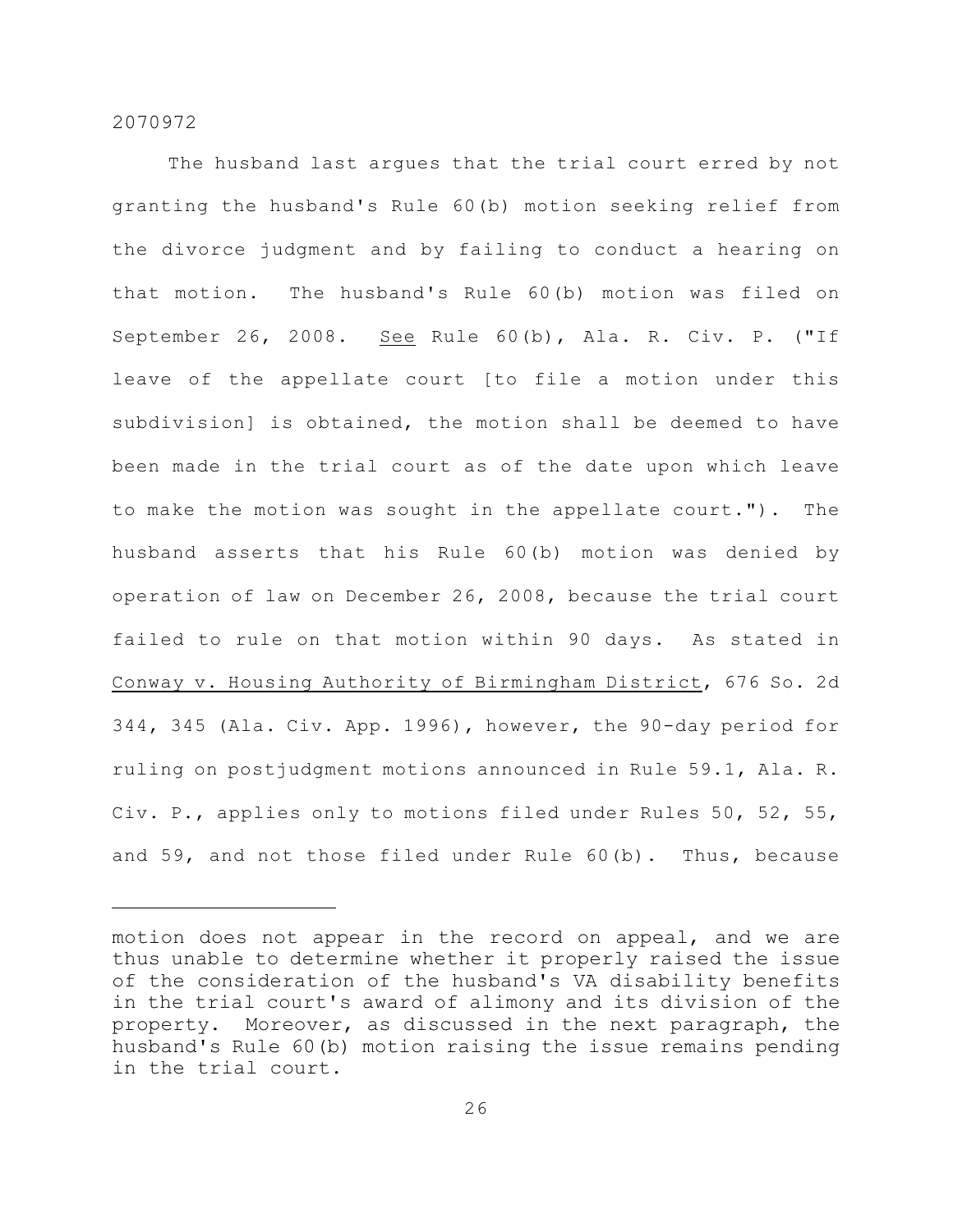The husband last argues that the trial court erred by not granting the husband's Rule 60(b) motion seeking relief from the divorce judgment and by failing to conduct a hearing on that motion. The husband's Rule 60(b) motion was filed on September 26, 2008. See Rule 60(b), Ala. R. Civ. P. ("If leave of the appellate court [to file a motion under this subdivision] is obtained, the motion shall be deemed to have been made in the trial court as of the date upon which leave to make the motion was sought in the appellate court."). The husband asserts that his Rule 60(b) motion was denied by operation of law on December 26, 2008, because the trial court failed to rule on that motion within 90 days. As stated in Conway v. Housing Authority of Birmingham District, 676 So. 2d 344, 345 (Ala. Civ. App. 1996), however, the 90-day period for ruling on postjudgment motions announced in Rule 59.1, Ala. R. Civ. P., applies only to motions filed under Rules 50, 52, 55, and 59, and not those filed under Rule 60(b). Thus, because

motion does not appear in the record on appeal, and we are thus unable to determine whether it properly raised the issue of the consideration of the husband's VA disability benefits in the trial court's award of alimony and its division of the property. Moreover, as discussed in the next paragraph, the husband's Rule 60(b) motion raising the issue remains pending in the trial court.